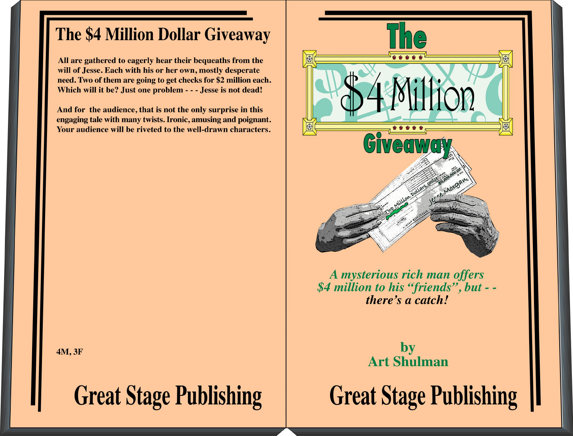# The \$4 Million Dollar Giveaway

All are gathered to eagerly hear their bequeaths from the will of Jesse. Each with his or her own, mostly desperate need. Two of them are going to get checks for \$2 million each. Which will it be? Just one problem - - - Jesse is not dead!

And for the audience, that is not the only surprise in this engaging tale with many twists. Ironic, amusing and poignant. Your audience will be riveted to the well-drawn characters.

A mysterious rich man offers \$4 million to his "friends", but - there's a catch!

> by **Art Shulman**

**Great Stage Publishing** 

4M, 3F

**Great Stage Publishing**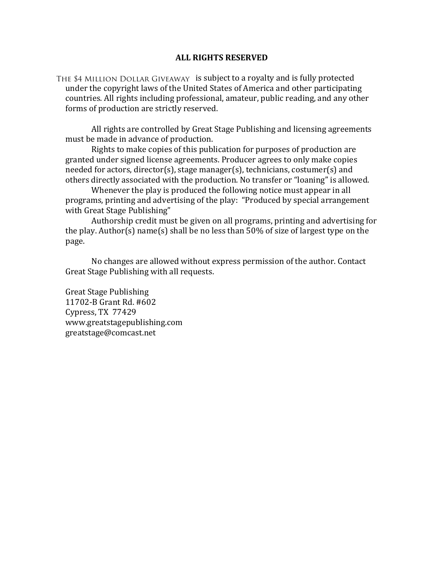### **ALL RIGHTS RESERVED**

THE \$4 MILLION DOLLAR GIVEAWAY is subject to a royalty and is fully protected under the copyright laws of the United States of America and other participating countries. All rights including professional, amateur, public reading, and any other forms of production are strictly reserved.

All rights are controlled by Great Stage Publishing and licensing agreements must be made in advance of production.

Rights to make copies of this publication for purposes of production are granted under signed license agreements. Producer agrees to only make copies needed for actors, director(s), stage manager(s), technicians, costumer(s) and others directly associated with the production. No transfer or "loaning" is allowed.

Whenever the play is produced the following notice must appear in all programs, printing and advertising of the play: "Produced by special arrangement with Great Stage Publishing"

Authorship credit must be given on all programs, printing and advertising for the play. Author(s) name(s) shall be no less than  $50\%$  of size of largest type on the page.

No changes are allowed without express permission of the author. Contact Great Stage Publishing with all requests.

Great Stage Publishing 11702-B Grant Rd. #602 Cypress, TX 77429 www.greatstagepublishing.com! greatstage@comcast.net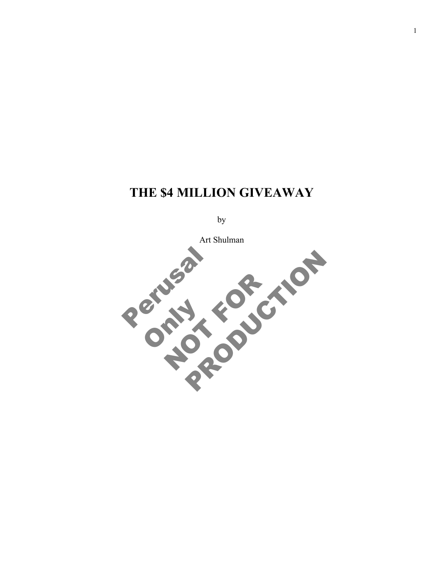# **THE \$4 MILLION GIVEAWAY**

by

Art Shulman

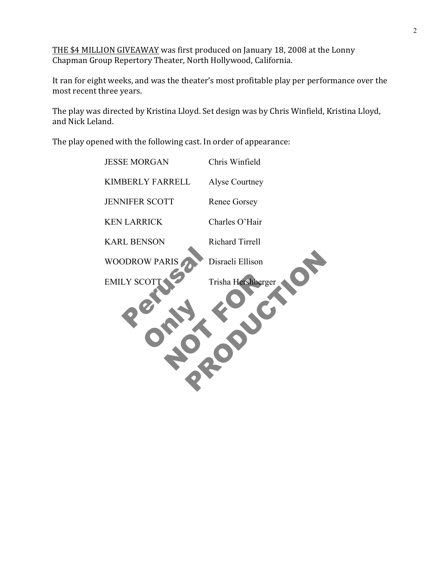THE \$4 MILLION GIVEAWAY was first produced on January 18, 2008 at the Lonny Chapman Group Repertory Theater, North Hollywood, California.

It ran for eight weeks, and was the theater's most profitable play per performance over the most recent three years.

The play was directed by Kristina Lloyd. Set design was by Chris Winfield, Kristina Lloyd, and Nick Leland.

The play opened with the following cast. In order of appearance:

| <b>JESSE MORGAN</b>   | Chris Winfield         |
|-----------------------|------------------------|
| KIMBERLY FARRELL      | Alyse Courtney         |
| <b>JENNIFER SCOTT</b> | <b>Renee Gorsey</b>    |
| <b>KEN LARRICK</b>    | Charles O'Hair         |
| <b>KARL BENSON</b>    | <b>Richard Tirrell</b> |
| <b>WOODROW PARIS</b>  | Disraeli Ellison       |
| <b>EMILY SCOTT</b>    | Trisha Hershberger     |
|                       |                        |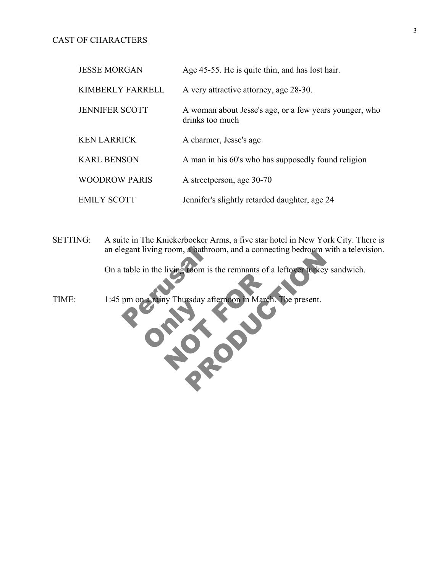### CAST OF CHARACTERS

| <b>JESSE MORGAN</b>   | Age 45-55. He is quite thin, and has lost hair.                           |
|-----------------------|---------------------------------------------------------------------------|
| KIMBERLY FARRELL      | A very attractive attorney, age 28-30.                                    |
| <b>JENNIFER SCOTT</b> | A woman about Jesse's age, or a few years younger, who<br>drinks too much |
| <b>KEN LARRICK</b>    | A charmer, Jesse's age                                                    |
| <b>KARL BENSON</b>    | A man in his 60's who has supposedly found religion                       |
| <b>WOODROW PARIS</b>  | A streetperson, age 30-70                                                 |
| <b>EMILY SCOTT</b>    | Jennifer's slightly retarded daughter, age 24                             |

SETTING: A suite in The Knickerbocker Arms, a five star hotel in New York City. There is an elegant living room, a bathroom, and a connecting bedroom with a television.

From is the remnants of a leftover furkey sandwitch.<br>
The present. On a table in the living room is the remnants of a leftover turkey sandwich.

egant living room, a bathroor<br>table in the living room is the<br>pm on a rainy Thursday after **ONLY 1999** Ny Thursday afternoon in March. TIME: 1:45 pm on a rainy Thursday afternoon in March. The present.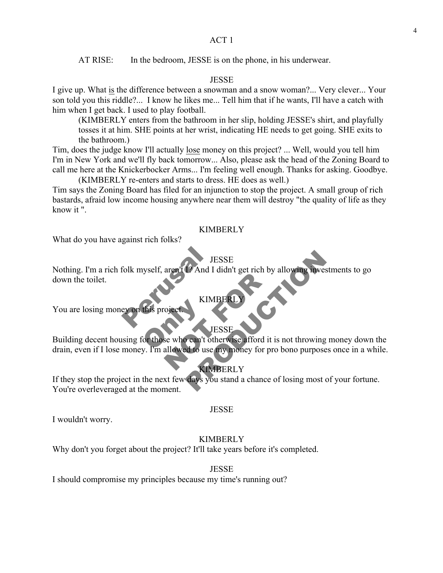AT RISE: In the bedroom, JESSE is on the phone, in his underwear.

### JESSE

I give up. What is the difference between a snowman and a snow woman?... Very clever... Your son told you this riddle?... I know he likes me... Tell him that if he wants, I'll have a catch with him when I get back. I used to play football.

(KIMBERLY enters from the bathroom in her slip, holding JESSE's shirt, and playfully tosses it at him. SHE points at her wrist, indicating HE needs to get going. SHE exits to the bathroom.)

Tim, does the judge know I'll actually lose money on this project? ... Well, would you tell him I'm in New York and we'll fly back tomorrow... Also, please ask the head of the Zoning Board to call me here at the Knickerbocker Arms... I'm feeling well enough. Thanks for asking. Goodbye.

(KIMBERLY re-enters and starts to dress. HE does as well.) Tim says the Zoning Board has filed for an injunction to stop the project. A small group of rich bastards, afraid low income housing anywhere near them will destroy "the quality of life as they know it ".

### KIMBERLY

What do you have against rich folks?

### **JESSE**

JES<br>
folk myself, aren't 19 And I di JESSE<br>
12 And I didn't get rich by allowing investments to<br>
KIMBERLY<br>
JESSE<br>
2 Can't otherwise afford it is not throwing money<br>
2 Le use my money for pro bono purposes once in<br>
KIMBERLY<br>
days you stand a chance of losing m Nothing. I'm a rich folk myself, aren't I? And I didn't get rich by allowing investments to go down the toilet.

**KIMBERI** 

You are losing money on this project

### **JESSE**

this project. KIMBERLY<br>
VESSE<br>
Se who can't otherwise afford it is<br>
allowed to use my money for pro Building decent housing for those who can't otherwise afford it is not throwing money down the drain, even if I lose money. I'm allowed to use my money for pro bono purposes once in a while.

### KIMBERLY

If they stop the project in the next few days you stand a chance of losing most of your fortune. You're overleveraged at the moment.

### JESSE

I wouldn't worry.

### KIMBERLY

Why don't you forget about the project? It'll take years before it's completed.

JESSE

I should compromise my principles because my time's running out?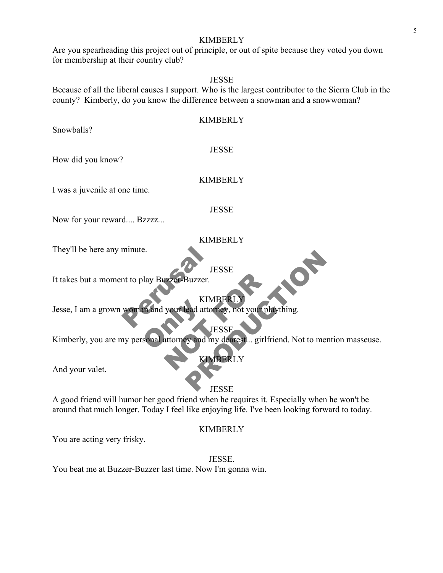Are you spearheading this project out of principle, or out of spite because they voted you down for membership at their country club?

# JESSE

Because of all the liberal causes I support. Who is the largest contributor to the Sierra Club in the county? Kimberly, do you know the difference between a snowman and a snowwoman?

| <b>KIMBERLY</b>                                                                            |
|--------------------------------------------------------------------------------------------|
| Snowballs?                                                                                 |
| <b>JESSE</b>                                                                               |
| How did you know?                                                                          |
| <b>KIMBERLY</b>                                                                            |
| I was a juvenile at one time.                                                              |
| <b>JESSE</b>                                                                               |
| Now for your reward Bzzzz                                                                  |
| <b>KIMBERLY</b>                                                                            |
| They'll be here any minute.                                                                |
| <b>JESSE</b>                                                                               |
| It takes but a moment to play Buzzer-Buzzer.                                               |
| <b>KIMBERLY</b>                                                                            |
| Jesse, I am a grown woman and your lead attorney, not your plaything.                      |
| <b>JESSE</b>                                                                               |
| Kimberly, you are my personal attorney and my dearest girlfriend. Not to mention masseuse. |
| <b>KIMBERLY</b>                                                                            |
| And your valet.                                                                            |
| <b>JESSE</b>                                                                               |

### **JESSE**

A good friend will humor her good friend when he requires it. Especially when he won't be around that much longer. Today I feel like enjoying life. I've been looking forward to today.

### KIMBERLY

You are acting very frisky.

JESSE. You beat me at Buzzer-Buzzer last time. Now I'm gonna win.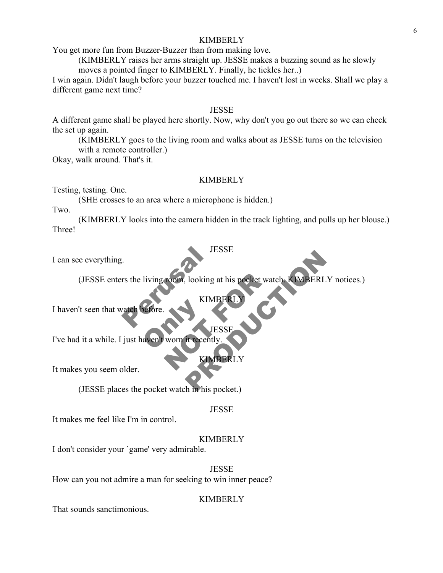You get more fun from Buzzer-Buzzer than from making love.

(KIMBERLY raises her arms straight up. JESSE makes a buzzing sound as he slowly moves a pointed finger to KIMBERLY. Finally, he tickles her..)

I win again. Didn't laugh before your buzzer touched me. I haven't lost in weeks. Shall we play a different game next time?

### JESSE

A different game shall be played here shortly. Now, why don't you go out there so we can check the set up again.

(KIMBERLY goes to the living room and walks about as JESSE turns on the television with a remote controller.)

Okay, walk around. That's it.

# **KIMBERLY**

Testing, testing. One.

(SHE crosses to an area where a microphone is hidden.)

Two.

(KIMBERLY looks into the camera hidden in the track lighting, and pulls up her blouse.) Three!

**JESSE** 

I can see everything.

JES<br>
rs the living room, looking at<br>
vatch before. TOOM, looking at his pocket watch NESSE<br>
Nooking at his pocket watch<br>
KIMBERLY<br>
JESSE<br>
HTecently<br>
KIMBERLY<br>
KIMBERLY<br>
h in his pocket.) (JESSE enters the living room, looking at his pocket watch. KIMBERLY notices.)

**KIMBE** 

I haven't seen that watch before

efore. I've had it a while. I just haven't worn it recently.

KIMBERLY

**JESSE** 

It makes you seem older.

(JESSE places the pocket watch in his pocket.)

### JESSE

It makes me feel like I'm in control.

### **KIMBERLY**

I don't consider your `game' very admirable.

JESSE

How can you not admire a man for seeking to win inner peace?

### **KIMBERLY**

That sounds sanctimonious.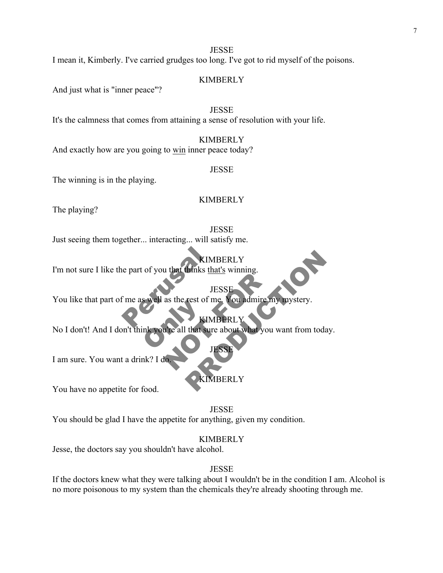**JESSE** I mean it, Kimberly. I've carried grudges too long. I've got to rid myself of the poisons.

# KIMBERLY

And just what is "inner peace"?

### JESSE

It's the calmness that comes from attaining a sense of resolution with your life.

### **KIMBERLY**

And exactly how are you going to win inner peace today?

### **JESSE**

The winning is in the playing.

# **KIMBERLY**

The playing?

### **JESSE**

Just seeing them together... interacting... will satisfy me.

KIMB<br>
e part of you that thinks that<br>
JES<br>
F me as well as the rest of me KIMBERLY I'm not sure I like the part of you that thinks that's winning.

**JESS** 

JESSE<br>
JESSE<br>
as the rest of me. You admire my<br>
KIMBERLY<br>
KIMBERLY<br>
JESSE<br>
JESSE You like that part of me as well as the rest of me. You admire my mystery.

# **KIMBERL**

Swept as the rest of n KIMBERLY<br>
JESSE<br>
rest of me. You admire my mystery.<br>
KIMBERLY<br>
that sure about what you want from today.<br>
JESSE<br>
XIMBERLY<br>
XIMBERLY No I don't! And I don't think you're all that sure about what you want from today.

I am sure. You want a drink? I d

# **BERLY**

JESSE

You have no appetite for food.

JESSE

You should be glad I have the appetite for anything, given my condition.

### **KIMBERLY**

Jesse, the doctors say you shouldn't have alcohol.

### JESSE

If the doctors knew what they were talking about I wouldn't be in the condition I am. Alcohol is no more poisonous to my system than the chemicals they're already shooting through me.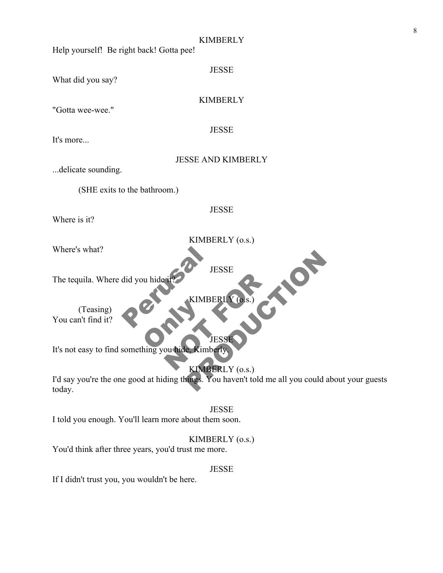| <b>KIMBERLY</b><br>Help yourself! Be right back! Gotta pee!                                                                    |
|--------------------------------------------------------------------------------------------------------------------------------|
| <b>JESSE</b><br>What did you say?                                                                                              |
| <b>KIMBERLY</b><br>"Gotta wee-wee."                                                                                            |
| <b>JESSE</b><br>It's more                                                                                                      |
| <b>JESSE AND KIMBERLY</b><br>delicate sounding.                                                                                |
| (SHE exits to the bathroom.)                                                                                                   |
| <b>JESSE</b><br>Where is it?                                                                                                   |
| KIMBERLY (o.s.)<br>Where's what?                                                                                               |
| <b>JESSE</b><br>The tequila. Where did you hide it?                                                                            |
| KIMBERLY (o.s.)<br>(Teasing)<br>You can't find it?                                                                             |
| <b>JESSE</b><br>It's not easy to find something you hide, Kimberly,                                                            |
| KIMBERLY (o.s.)<br>I'd say you're the one good at hiding things. You haven't told me all you could about your guests<br>today. |
| <b>JESSE</b><br>I told you enough. You'll learn more about them soon.                                                          |
| KIMBERLY (0.s.)                                                                                                                |

8

You'd think after three years, you'd trust me more.

JESSE

If I didn't trust you, you wouldn't be here.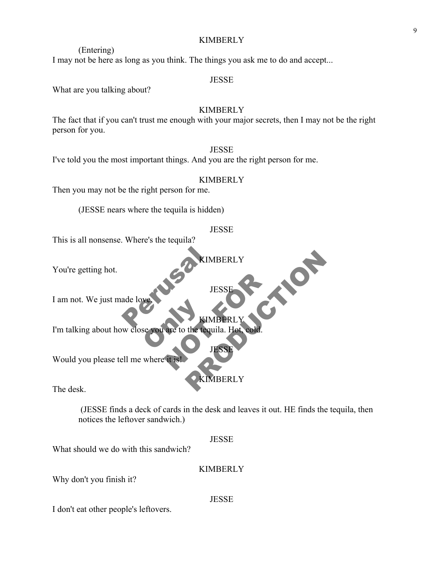(Entering) I may not be here as long as you think. The things you ask me to do and accept...

### JESSE

What are you talking about?

# KIMBERLY

The fact that if you can't trust me enough with your major secrets, then I may not be the right person for you.

### **JESSE**

I've told you the most important things. And you are the right person for me.

# **KIMBERLY**

Then you may not be the right person for me.

(JESSE nears where the tequila is hidden)

### **JESSE**

KIMBERLY

JESSE

This is all nonsense. Where's the tequila?

You're getting hot.

I am not. We just made love.

RES AREA Se you are to the tequ JESSE KIMBER I'm talking about how close you are to the tequila. Hot, cold.

JESSE

**PRODUCTION** 

Would you please tell me where it is!

KIMBERLY

The desk.

(JESSE finds a deck of cards in the desk and leaves it out. HE finds the tequila, then notices the leftover sandwich.)

**JESSE** 

What should we do with this sandwich?

### **KIMBERLY**

**JESSE** 

Why don't you finish it?

I don't eat other people's leftovers.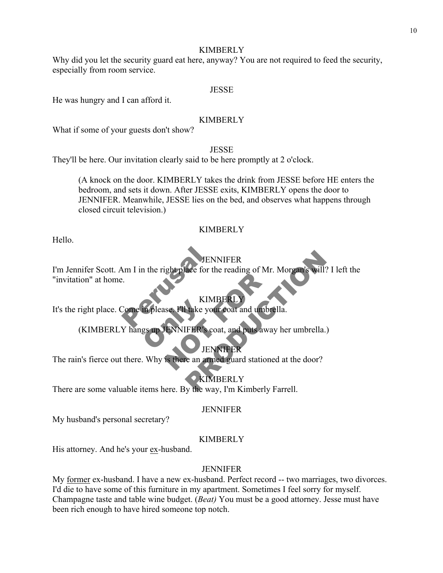Why did you let the security guard eat here, anyway? You are not required to feed the security, especially from room service.

### JESSE

He was hungry and I can afford it.

### KIMBERLY

What if some of your guests don't show?

# **JESSE**

They'll be here. Our invitation clearly said to be here promptly at 2 o'clock.

(A knock on the door. KIMBERLY takes the drink from JESSE before HE enters the bedroom, and sets it down. After JESSE exits, KIMBERLY opens the door to JENNIFER. Meanwhile, JESSE lies on the bed, and observes what happens through closed circuit television.)

### KIMBERLY

Hello.

# **ENNIFER**

JENN<br>
Mm I in the right place for the<br>
Perusale FII take your KIMBERLY<br>SEE FII take your coat and umbrell<br>JENNIFER's coat, and puts away<br>JENNIFER's coat, and puts away JENNIFER<br>
SENNIFER<br>
KIMBERLY<br>
KIMBERLY<br>
Take your coat and umbrella.<br>
FER's coat, and puts away her umbrella.<br>
JENNIFER<br>
TER's coat, and puts away her umbrella.<br>
JENNIFER<br>
TERNIFER<br>
We an armed guard stationed at the door? I'm Jennifer Scott. Am I in the right place for the reading of Mr. Morgan's will? I left the "invitation" at home.

# **KIMBERI**

It's the right place. Come in please. I'll take your coat and umbrella.

**Example as Ally Represent The ALLY AND SET ON THE READ TENSION REPRESENTED AND READ TENSION REPRESENTED AND RE** (KIMBERLY hangs up JENNIFER's coat, and puts away her umbrella.)

# **JENNIFER**

The rain's fierce out there. Why is there an armed guard stationed at the door?

# **KIMBERLY**

There are some valuable items here. By the way, I'm Kimberly Farrell.

### JENNIFER

My husband's personal secretary?

### KIMBERLY

His attorney. And he's your ex-husband.

### JENNIFER

My former ex-husband. I have a new ex-husband. Perfect record -- two marriages, two divorces. I'd die to have some of this furniture in my apartment. Sometimes I feel sorry for myself. Champagne taste and table wine budget. (*Beat)* You must be a good attorney. Jesse must have been rich enough to have hired someone top notch.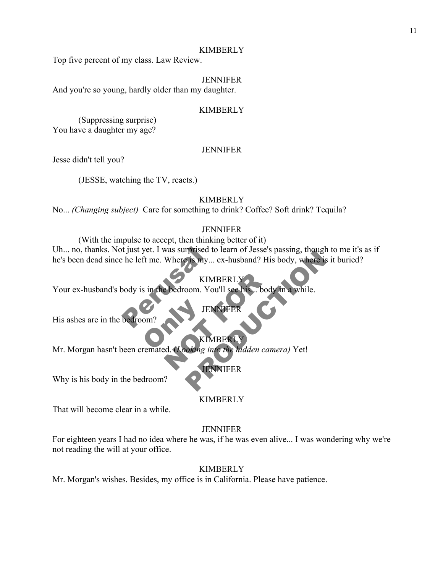Top five percent of my class. Law Review.

### JENNIFER

And you're so young, hardly older than my daughter.

### KIMBERLY

(Suppressing surprise) You have a daughter my age?

### **JENNIFER**

Jesse didn't tell you?

(JESSE, watching the TV, reacts.)

### KIMBERLY

No... *(Changing subject)* Care for something to drink? Coffee? Soft drink? Tequila?

### **JENNIFER**

Exercise to the left me. Where is my... exercise to the left me. Where is my... exercise to the left me. Where is my... exercise to the left me. Where is my... exercise to the left more than  $\epsilon$ First do Fearn of Jesse's passing, though to the history.<br>
Fis my... ex-husband? His body, where is it burie<br>
KIMBERLY<br>
OOM. You'll see his... body in a while.<br>
JENNIFER<br>
KIMBERLY<br>
Ching into the hidden camera) Yet!<br>
ENNIF (With the impulse to accept, then thinking better of it) Uh... no, thanks. Not just yet. I was surprised to learn of Jesse's passing, though to me it's as if he's been dead since he left me. Where is my... ex-husband? His body, where is it buried?

### **KIMBERI**

JENNIFER

Your ex-husband's body is in the bedroom. You'll see his... body in a while.

His ashes are in the bedroom'

This ashes are in the bedroom?<br>
Mr. Morgan hasn't been cremated. (*Looking into the hidden camera*) Yet! KIMBERLY<br>
bedroom. You'll see his... body.<br>
JENNIFER<br>
KIMBERLY<br>
RENNIFER<br>
FENNIFER KIMBERLY

JENNIFER

Why is his body in the bedroom?

### KIMBERLY

That will become clear in a while.

### **JENNIFER**

For eighteen years I had no idea where he was, if he was even alive... I was wondering why we're not reading the will at your office.

### KIMBERLY

Mr. Morgan's wishes. Besides, my office is in California. Please have patience.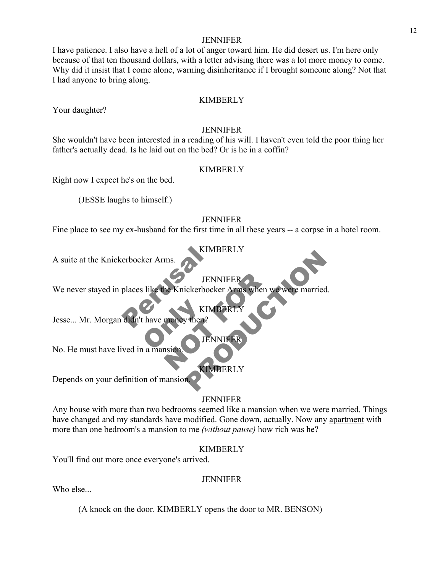### JENNIFER

I have patience. I also have a hell of a lot of anger toward him. He did desert us. I'm here only because of that ten thousand dollars, with a letter advising there was a lot more money to come. Why did it insist that I come alone, warning disinheritance if I brought someone along? Not that I had anyone to bring along.

### KIMBERLY

Your daughter?

### **JENNIFER**

She wouldn't have been interested in a reading of his will. I haven't even told the poor thing her father's actually dead. Is he laid out on the bed? Or is he in a coffin?

### KIMBERLY

Right now I expect he's on the bed.

(JESSE laughs to himself.)

### JENNIFER

Fine place to see my ex-husband for the first time in all these years -- a corpse in a hotel room.

### KIMBERLY

A suite at the Knickerbocker Arms.

# JENNIFER

KIMBERLY

JENNIFER

JENNIFER<br>
MEXINEERLY<br>
MONEY then?<br>
KIMBERLY<br>
SENNIFER<br>
KIMBERLY<br>
KIMBERLY JENNIFER<br>
CREDOCKET Arms when we were married.<br>
KIMBERLY<br>
JENNIFER<br>
CREDOCKET<br>
CREDOCKET<br>
CREDOCKET<br>
CREDOCKET<br>
CREDOCKET<br>
CREDOCKET<br>
CREDOCKET<br>
CREDOCKET<br>
CREDOCKET<br>
CREDOCKET<br>
CREDOCKET<br>
CREDOCKET<br>
CREDOCKET<br>
CREDOCKET<br> We never stayed in places like the Knickerbocker Arms when we were married.

ENN<br>
Places like the Knickerbocke<br>
HENN<br>
HENN<br>
HENN<br>
HENN<br>
HENN<br>
HENN<br>
HENN<br>
HENN<br>
HENN<br>
HENN<br>
HENN<br>
HENN<br>
HENN<br>
HENN<br>
HENN<br>
HENN<br>
HENN<br>
HENN<br>
HENN<br>
HENN<br>
HENN<br>
HENN<br>
HENN<br>
HENN<br>
HENN<br>
HENN<br>
HENN<br>
HENN<br>
HENN<br>
HENN<br>
HENN<br>
H KIN<br>
thave money then? Jesse... Mr. Morgan didn't have money then?

No. He must have lived in a mansion.

KIMBERLY

Depends on your definition of mansion.

### **JENNIFER**

Any house with more than two bedrooms seemed like a mansion when we were married. Things have changed and my standards have modified. Gone down, actually. Now any apartment with more than one bedroom's a mansion to me *(without pause)* how rich was he?

### KIMBERLY

You'll find out more once everyone's arrived.

### JENNIFER

Who else...

(A knock on the door. KIMBERLY opens the door to MR. BENSON)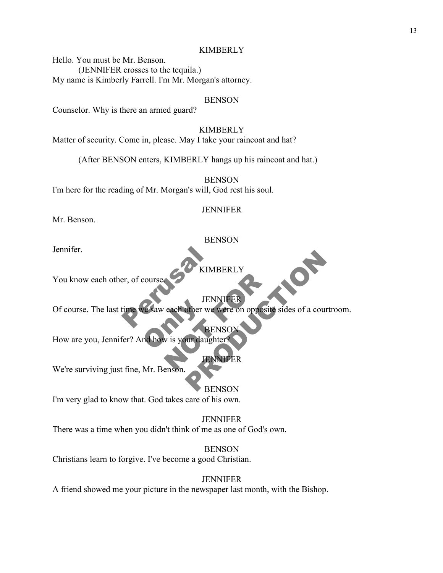Hello. You must be Mr. Benson. (JENNIFER crosses to the tequila.) My name is Kimberly Farrell. I'm Mr. Morgan's attorney.

### BENSON

Counselor. Why is there an armed guard?

### KIMBERLY

Matter of security. Come in, please. May I take your raincoat and hat?

(After BENSON enters, KIMBERLY hangs up his raincoat and hat.)

**BENSON** 

I'm here for the reading of Mr. Morgan's will, God rest his soul.

### JENNIFER

Mr. Benson.

### BENSON

Jennifer.

### KIMBERLY

You know each other, of course.

JENNIFER

ERIEN Ve saw each other we JENNIFER<br>
each other we were on opposite s<br>
W is your daughter?<br>
FORMER JENNIFER<br>JENNIFER<br>Other we were on opposite sides of a courtroom.<br>BENSON<br>JUNIFER Of course. The last time we saw each other we were on opposite sides of a courtroom.

**BENSO** 

How are you, Jennifer? And how is your daughter

JENNIFER

We're surviving just fine, Mr. Benson.

BENSON

I'm very glad to know that. God takes care of his own.

JENNIFER There was a time when you didn't think of me as one of God's own.

BENSON Christians learn to forgive. I've become a good Christian.

**JENNIFER** A friend showed me your picture in the newspaper last month, with the Bishop.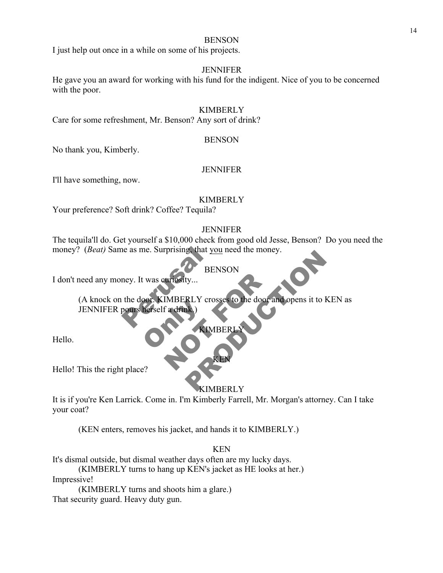### **BENSON**

I just help out once in a while on some of his projects.

### JENNIFER

He gave you an award for working with his fund for the indigent. Nice of you to be concerned with the poor.

### KIMBERLY

Care for some refreshment, Mr. Benson? Any sort of drink?

### BENSON

No thank you, Kimberly.

### JENNIFER

I'll have something, now.

### KIMBERLY

Your preference? Soft drink? Coffee? Tequila?

### **JENNIFER**

The tequila'll do. Get yourself a \$10,000 check from good old Jesse, Benson? Do you need the money? (*Beat*) Same as me. Surprising, that you need the money.

### BENSON

I don't need any money. It was curiosity...

The as me. Surprising, that you Sor. KIMBERLY CTC ENTISSITY...<br>IMBERLY crosses to the door an BENSON<br>BENSON<br>RLY crosses to the door and opens it to KEN as<br>KIMBERLY<br>KIMBERLY (A knock on the door. KIMBERLY crosses to the door and opens it to KEN as JENNIFER pours herself a drink.)

# KIMBERI

Hello.

Hello! This the right place?

### KIMBERLY

KEN

It is if you're Ken Larrick. Come in. I'm Kimberly Farrell, Mr. Morgan's attorney. Can I take your coat?

(KEN enters, removes his jacket, and hands it to KIMBERLY.)

### KEN

It's dismal outside, but dismal weather days often are my lucky days.

(KIMBERLY turns to hang up KEN's jacket as HE looks at her.)

Impressive!

(KIMBERLY turns and shoots him a glare.) That security guard. Heavy duty gun.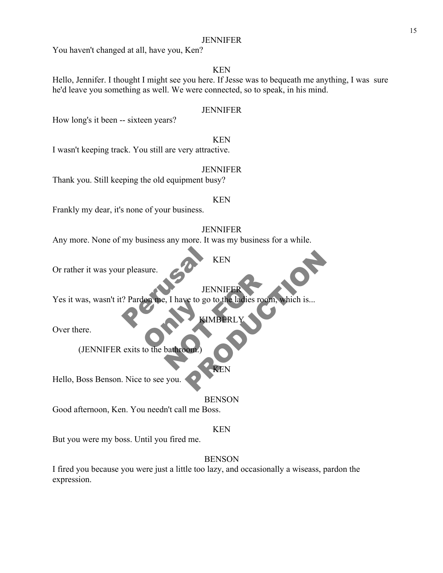### JENNIFER

You haven't changed at all, have you, Ken?

# KEN

Hello, Jennifer. I thought I might see you here. If Jesse was to bequeath me anything, I was sure he'd leave you something as well. We were connected, so to speak, in his mind.

### JENNIFER

How long's it been -- sixteen years?

KEN I wasn't keeping track. You still are very attractive.

### JENNIFER

Thank you. Still keeping the old equipment busy?

### KEN

Frankly my dear, it's none of your business.

### **JENNIFER**

Any more. None of my business any more. It was my business for a while.

### KEN

Or rather it was your pleasure.

JENNIF

KIMBER

Per Pleasure. Extra the batter of the batter of the batter of the batter of the batter of the batter of the state of the state of the state of the state of the state of the state of the state of the state of the state of the state of th JENNIFER<br>
., I have to go to the ladies room,<br>
KIMBERLY<br>
bathroom. KEN<br>JENNIFER<br>Ce to go to the ladies room, which is...<br>KIMBERLY<br>CREN Yes it was, wasn't it? Pardon me, I have to go to the ladies room, which is...

Over there.

(JENNIFER exits to the bathroom.)

KEN

Hello, Boss Benson. Nice to see you.

BENSON

Good afternoon, Ken. You needn't call me Boss.

### KEN

But you were my boss. Until you fired me.

# BENSON

I fired you because you were just a little too lazy, and occasionally a wiseass, pardon the expression.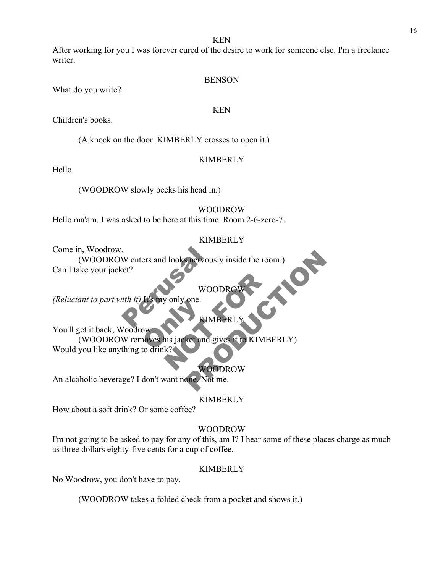KEN

After working for you I was forever cured of the desire to work for someone else. I'm a freelance writer.

### **BENSON**

What do you write?

### KEN

Children's books.

(A knock on the door. KIMBERLY crosses to open it.)

# **KIMBERLY**

Hello.

(WOODROW slowly peeks his head in.)

# WOODROW

Hello ma'am. I was asked to be here at this time. Room 2-6-zero-7.

# KIMBERLY

Come in, Woodrow.

W enters and looks nervously (WOODROW enters and looks nervously inside the room.)<br>ake your jacket? Can I take your jacket?

WOODR<br>only one. *(Reluctant to part with it)* 

# KIMBERI

ow<br>owners his jacket and g<br>to drink? WOODROW<br>
EIMBERLY<br>
EIMBERLY<br>
KRAMERLY<br>
KRAMERLY<br>
KRAMER WOODROW MOODROW<br>
WOODROW<br>
EIMBERLY<br>
EIMBERLY<br>
RECT and gives it to KIMBERLY<br>
WOODROW<br>
THE NOT ME. You'll get it back, Woodrow. (WOODROW removes his jacket and gives it to KIMBERLY) Would you like anything to drink?

WOODROW

An alcoholic beverage? I don't want none. Not me.

# KIMBERLY

How about a soft drink? Or some coffee?

# WOODROW

I'm not going to be asked to pay for any of this, am I? I hear some of these places charge as much as three dollars eighty-five cents for a cup of coffee.

# KIMBERLY

No Woodrow, you don't have to pay.

(WOODROW takes a folded check from a pocket and shows it.)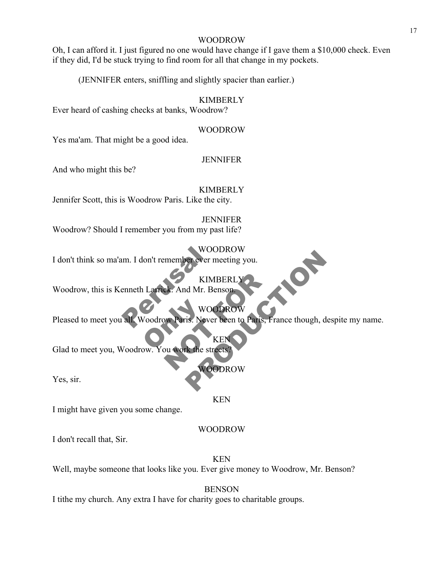### WOODROW

Oh, I can afford it. I just figured no one would have change if I gave them a \$10,000 check. Even if they did, I'd be stuck trying to find room for all that change in my pockets.

(JENNIFER enters, sniffling and slightly spacier than earlier.)

### KIMBERLY

Ever heard of cashing checks at banks, Woodrow?

### WOODROW

Yes ma'am. That might be a good idea.

### JENNIFER

And who might this be?

### **KIMBERLY**

Jennifer Scott, this is Woodrow Paris. Like the city.

### JENNIFER Woodrow? Should I remember you from my past life?

# WOODROW

I don't think so ma'am. I don't remember ever meeting you.

WOOI **KIMBER** Woodrow, this is Kenneth Larrick. And Mr. Benson.

WOODROW

WOODS Paris. Neve KIMBERLY<br>
EREN WOODROW<br>
WOODROW<br>
WOODROW<br>
WARTER STEED TO PATIS, France STEED<br>
WOODROW<br>
WOODROW WOODKOW<br>
KIMBERLY<br>
Id Mr. Benson<br>
WOODROW<br>
IS. Never been to Paris, France though, despite m<br>
KEN<br>
KEN<br>
Re streets?<br>
WOODROW Pleased to meet you all. Woodrow Paris. Never been to Paris, France though, despite my name.

KE

Glad to meet you, Woodrow. You work the street

Yes, sir.

### KEN

WOODROW

I might have given you some change.

### WOODROW

I don't recall that, Sir.

KEN Well, maybe someone that looks like you. Ever give money to Woodrow, Mr. Benson?

### **BENSON**

I tithe my church. Any extra I have for charity goes to charitable groups.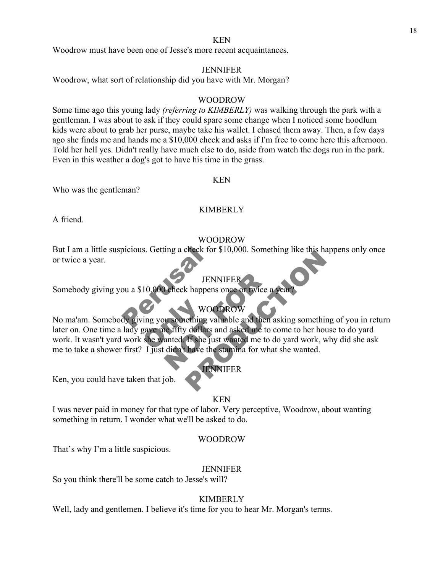### KEN

Woodrow must have been one of Jesse's more recent acquaintances.

### JENNIFER

Woodrow, what sort of relationship did you have with Mr. Morgan?

### WOODROW

Some time ago this young lady *(referring to KIMBERLY)* was walking through the park with a gentleman. I was about to ask if they could spare some change when I noticed some hoodlum kids were about to grab her purse, maybe take his wallet. I chased them away. Then, a few days ago she finds me and hands me a \$10,000 check and asks if I'm free to come here this afternoon. Told her hell yes. Didn't really have much else to do, aside from watch the dogs run in the park. Even in this weather a dog's got to have his time in the grass.

### KEN

Who was the gentleman?

### KIMBERLY

A friend.

### WOODROW

But I am a little suspicious. Getting a check for \$10,000. Something like this happens only once<br>or twice a year.<br>Somebody giving you a \$10,000 check happens once or twice a year?<br>No ma'am. Somebody giving you something va But I am a little suspicious. Getting a check for \$10,000. Something like this happens only once or twice a year.

# JENNIFER

Somebody giving you a \$10,000 check happens once or twice a year

# WOODROW

WOW<br>
Ving you something v<br>
gave me fifty dollars<br>
she wanted. If she just<br>
Liust dight have the JENNIFER<br>
University of the Second WOODROW<br>
Using valuable and then as<br>
Lefty dollars and asked me to co<br>
anted. If she just wanted me to do<br>
didn't have the stamina for what<br>
TENNIFER JENNIFER<br>
VOODROW<br>
JENNIFER<br>
WOODROW<br>
TENNIFER<br>
WOODROW<br>
TENNIFER<br>
VOODROW<br>
TENNIFER<br>
TENNIFER<br>
TENNIFER<br>
PRODUCT TO A SACT TO A SACT TO A SACT TO A SACT TO A SACT TO A<br>
THE JUST WARD TO A SACT TO A SACT TO A SACT TO A SAC later on. One time a lady gave me fifty dollars and asked me to come to her house to do yard work. It wasn't yard work she wanted. If she just wanted me to do yard work, why did she ask me to take a shower first? I just didn't have the stamina for what she wanted.

JENNIFER

Ken, you could have taken that job.

### KEN

I was never paid in money for that type of labor. Very perceptive, Woodrow, about wanting something in return. I wonder what we'll be asked to do.

### WOODROW

That's why I'm a little suspicious.

### JENNIFER

So you think there'll be some catch to Jesse's will?

### KIMBERLY

Well, lady and gentlemen. I believe it's time for you to hear Mr. Morgan's terms.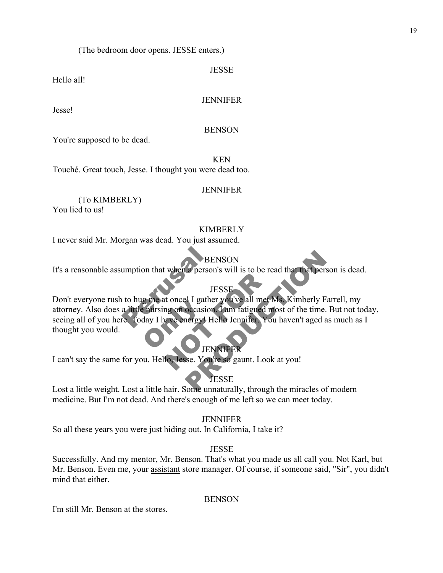(The bedroom door opens. JESSE enters.)

JESSE

Hello all!

# **JENNIFER**

Jesse!

# **BENSON**

You're supposed to be dead.

KEN

Touché. Great touch, Jesse. I thought you were dead too.

# JENNIFER

(To KIMBERLY) You lied to us!

# KIMBERLY

I never said Mr. Morgan was dead. You just assumed.

# **BENSON**

It's a reasonable assumption that when a person's will is to be read that that person is dead.

# **IESSI**

BEN<br>
umption that when a person's<br>
JES<br>
to hug me at oncel I gather<br>
a little nursing on occasion. I<br>
re Today I have energy! Hell g me at once I game<br>aursing on occasion<br>day I have energy! H JESSE<br>JESSE<br>It once I gather you've all met Mi<br>mg on occasion. I am fatigued mosave<br>energy! Hello Jennifer. You I<br>JENNIFER<br>Io, Jesse. You're so gaunt. Look a BENSON<br>
JESSE<br>
JESSE<br>
JESSE<br>
PLI gather you've all met Ms. Kimberly Farrell, m<br>
occasion. I am fatigued most of the time. But not<br>
nergy! Hello Jennifer. You haven't aged as much<br>
DENNIFER<br>
See. You're so gaunt. Look at yo Don't everyone rush to hug me at once! I gather you've all met Ms. Kimberly Farrell, my attorney. Also does a little nursing on occasion. I am fatigued most of the time. But not today, seeing all of you here. Today I have energy! Hello Jennifer. You haven't aged as much as I thought you would.

# JENNIFER

I can't say the same for you. Hello, Jesse. You're so gaunt. Look at you!

# **JESSE**

Lost a little weight. Lost a little hair. Some unnaturally, through the miracles of modern medicine. But I'm not dead. And there's enough of me left so we can meet today.

# JENNIFER

So all these years you were just hiding out. In California, I take it?

# **JESSE**

Successfully. And my mentor, Mr. Benson. That's what you made us all call you. Not Karl, but Mr. Benson. Even me, your assistant store manager. Of course, if someone said, "Sir", you didn't mind that either.

# **BENSON**

I'm still Mr. Benson at the stores.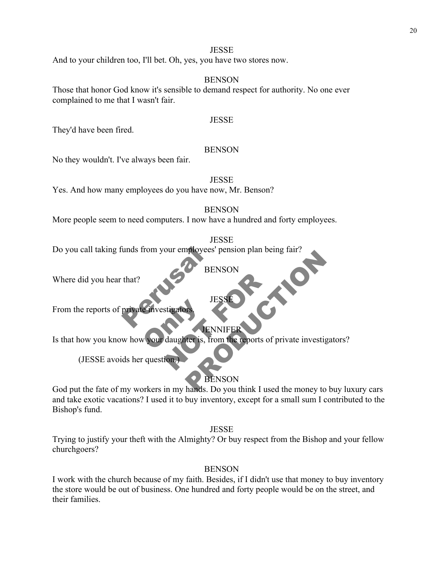And to your children too, I'll bet. Oh, yes, you have two stores now.

### BENSON

Those that honor God know it's sensible to demand respect for authority. No one ever complained to me that I wasn't fair.

### JESSE

They'd have been fired.

### **BENSON**

No they wouldn't. I've always been fair.

JESSE

Yes. And how many employees do you have now, Mr. Benson?

**BENSON** 

More people seem to need computers. I now have a hundred and forty employees.

JESSE

France Contract of the Contract of the Contract of the Contract of the Contract of the Contract of the Contract of the Contract of the Contract of the Contract of the Contract of the Contract of the Contract of the Contrac Do you call taking funds from your employees' pension plan being fair?

BENSON

**JES** 

Where did you hear that?

From the reports of private investigators

**JENNIFER** 

Einvestigators<br>Vyour daughter is, fr JESSE<br>Stigators<br>daughter is, from the reports of p<br>ion. BENSON<br>
BENSON<br>
JESSE<br>
JENNIFER<br>
JENNIFER<br>
JENNIFER<br>
JENNIFER<br>
BENSON<br>
BENSON<br>
PRENSON Is that how you know how your daughter is, from the reports of private investigators?

(JESSE avoids her question.)

# BENSON

God put the fate of my workers in my hands. Do you think I used the money to buy luxury cars and take exotic vacations? I used it to buy inventory, except for a small sum I contributed to the Bishop's fund.

**JESSE** 

Trying to justify your theft with the Almighty? Or buy respect from the Bishop and your fellow churchgoers?

# BENSON

I work with the church because of my faith. Besides, if I didn't use that money to buy inventory the store would be out of business. One hundred and forty people would be on the street, and their families.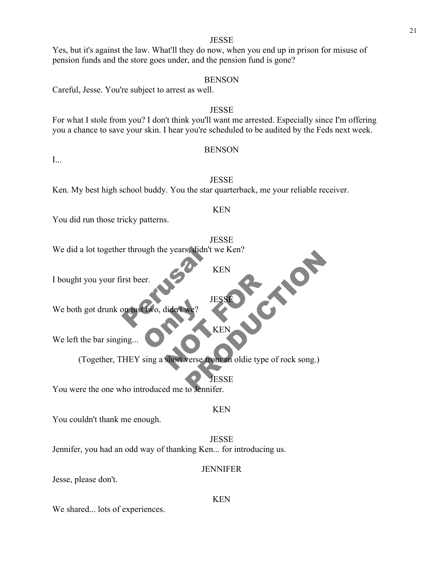# **JESSE** Yes, but it's against the law. What'll they do now, when you end up in prison for misuse of pension funds and the store goes under, and the pension fund is gone?

### BENSON

Careful, Jesse. You're subject to arrest as well.

### JESSE

For what I stole from you? I don't think you'll want me arrested. Especially since I'm offering you a chance to save your skin. I hear you're scheduled to be audited by the Feds next week.

### **BENSON**

I...

JESSE Ken. My best high school buddy. You the star quarterback, me your reliable receiver.

You did run those tricky patterns.

**JESSE** 

KEN

Perusal We did a lot together through the years, didn't we Ken?

KEN

**JESS** 

 $\overline{\mathbf{K}}$ E

**JESSE** 

KEN

I bought you your first beer.

Ewo, didn't we? We both got drunk on just two, didn't we?

We left the bar singing.

SPORTESSED TESSED TESSED TESSED TESSED TESSED TESSED TESSED TESTED TESTED TESTED TESTED TESTED TESTED TESTED TESTED TESTED TESTED TESTED TESTED TESTED TESTED TESTED TESTED TESTED TESTED TESTED TESTED TESTED TESTED TESTED T KEN<br>
KEN<br>
KEN<br>
KEN<br>
KEN<br>
KEN<br>
KEN<br>
SESSE<br>
TESSE<br>
TESSE<br>
TESSE<br>
TESSE<br>
TESSE (Together, THEY sing a short verse from an oldie type of rock song.)

You were the one who introduced me to Jennifer.

You couldn't thank me enough.

**JESSE** Jennifer, you had an odd way of thanking Ken... for introducing us.

### JENNIFER

KEN

Jesse, please don't.

We shared... lots of experiences.

21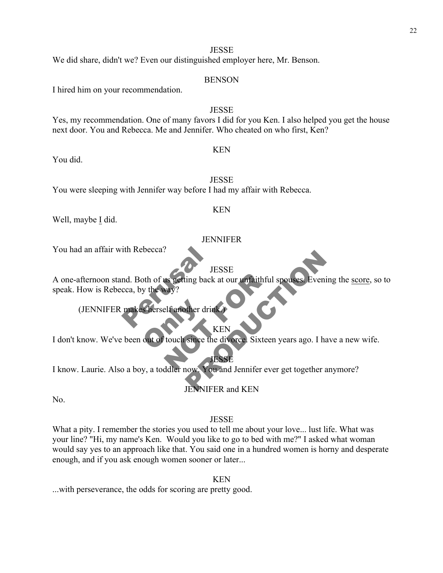We did share, didn't we? Even our distinguished employer here, Mr. Benson.

### BENSON

I hired him on your recommendation.

# JESSE Yes, my recommendation. One of many favors I did for you Ken. I also helped you get the house next door. You and Rebecca. Me and Jennifer. Who cheated on who first, Ken?

### KEN

You did.

JESSE

You were sleeping with Jennifer way before I had my affair with Rebecca.

### KEN

Well, maybe I did.

### JENNIFER

You had an affair with Rebecca?

# **JESSE**

THES<br>
IDES<br>
IDES<br>
IDES<br>
IDES<br>
IDES<br>
IDES<br>
IDES<br>
IDES<br>
IDES<br>
IDES<br>
IDES<br>
IDES<br>
IDES<br>
IDES<br>
IDES<br>
IDES<br>
IDES<br>
IDES<br>
IDES<br>
IDES<br>
IDES<br>
IDES<br>
IDES<br>
IDES<br>
IDES<br>
IDES<br>
IDES<br>
IDES<br>
IDES<br>
IDES<br>
IDES<br>
IDES<br>
IDES<br>
IDES<br>
IDES<br>
IDES<br> The Setting back at our unfaithful s<br>
Nay?<br>
Let another drink.<br>
ESSE<br>
Mouch since the divorce. Sixteen you and lennifer ever JESSE<br>
Ing back at our unfaithful spouses. Evening the settled<br>
Her drinks<br>
KEN<br>
Since the divorce Sixteen years ago. I have a net<br>
JESSE<br>
NOW You and Jennifer ever get together anymore<br>
JENNIFER and KEN A one-afternoon stand. Both of us getting back at our unfaithful spouses. Evening the score, so to speak. How is Rebecca, by the way?

Sherself another drin (JENNIFER makes herself another drink.)

### **KEN**

I don't know. We've been out of touch since the divorce. Sixteen years ago. I have a new wife.

JESSE I know. Laurie. Also a boy, a toddler now. You and Jennifer ever get together anymore?

# JENNIFER and KEN

No.

# JESSE

What a pity. I remember the stories you used to tell me about your love... lust life. What was your line? "Hi, my name's Ken. Would you like to go to bed with me?" I asked what woman would say yes to an approach like that. You said one in a hundred women is horny and desperate enough, and if you ask enough women sooner or later...

KEN

...with perseverance, the odds for scoring are pretty good.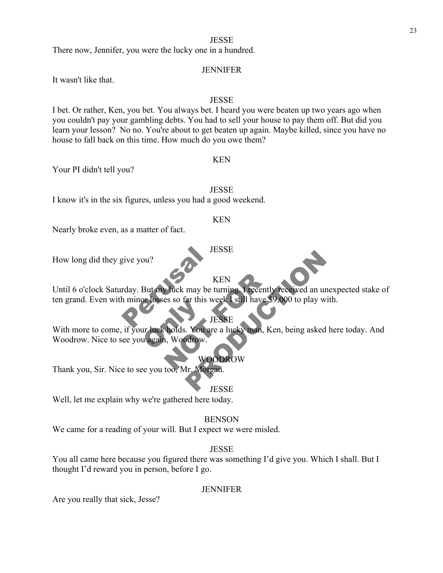There now, Jennifer, you were the lucky one in a hundred.

### JENNIFER

It wasn't like that.

### **JESSE**

I bet. Or rather, Ken, you bet. You always bet. I heard you were beaten up two years ago when you couldn't pay your gambling debts. You had to sell your house to pay them off. But did you learn your lesson? No no. You're about to get beaten up again. Maybe killed, since you have no house to fall back on this time. How much do you owe them?

Your PI didn't tell you?

**JESSE** 

KEN

I know it's in the six figures, unless you had a good weekend.

### KEN

**JESSE** 

Nearly broke even, as a matter of fact.

How long did they give you?

# KEN

THES KEN<br>
Fuck may be turning I recently to<br>
es so far this week [still have \$9,<br>
JESSE<br>
holds. You are a lucky man, Ken<br>
MOODROW<br>
WOODROW<br>
too Mr Morean KEN<br>
may be turning 1 recently received an unexpecte<br>
ar this week I still have \$9,000 to play with.<br>
JESSE<br>
FRODUCTION.<br>
WOODROW<br>
Tr. Morgan.<br>
JESSE Until 6 o'clock Saturday. But my luck may be turning. I recently received an unexpected stake of ten grand. Even with minor losses so far this week I still have \$9,000 to play with.

**JESSE** 

or losses so far this w With more to come, if your luck holds. You are a lucky man, Ken, being asked here today. And Woodrow. Nice to see you again, Woodrow.

### WOODROW

Thank you, Sir. Nice to see you too, Mr. Morgan.

### **JESSE**

Well, let me explain why we're gathered here today.

### BENSON

We came for a reading of your will. But I expect we were misled.

### **JESSE**

You all came here because you figured there was something I'd give you. Which I shall. But I thought I'd reward you in person, before I go.

### JENNIFER

Are you really that sick, Jesse?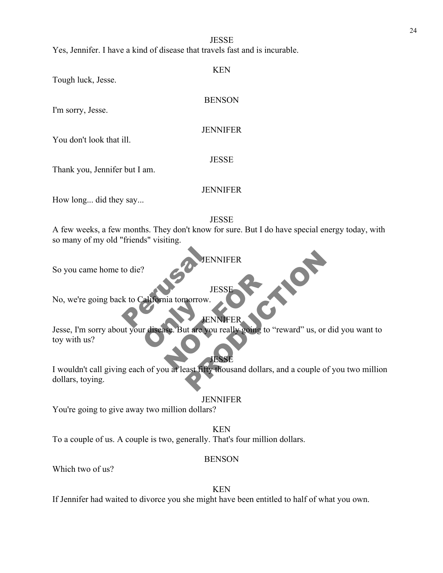Yes, Jennifer. I have a kind of disease that travels fast and is incurable.

Tough luck, Jesse.

### BENSON

KEN

I'm sorry, Jesse.

### **JENNIFER**

You don't look that ill.

### **JESSE**

Thank you, Jennifer but I am.

### JENNIFER

How long... did they say...

**JESSE** 

A few weeks, a few months. They don't know for sure. But I do have special energy today, with so many of my old "friends" visiting.

**JENNIFER** 

So you came home to die?

# JES

to die?<br>
ESK to California tomorrow. No, we're going back to California tomorrow.

**JENNIFE** 

The Magazine But are you JESSE<br>
JESSE<br>
SE But are you really going to "respect to the set of the bound dollars Jesse, I'm sorry about your disease. But are you really going to "reward" us, or did you want to toy with us?

JENNIFER<br>
JESSE<br>
TENNIFER<br>
TENNIFER<br>
TENNIFER<br>
TENNIFER<br>
TESSE<br>
TESSE<br>
TESSE<br>
TESSE<br>
TESSE<br>
ART TITLE TESSE I wouldn't call giving each of you at least fifty thousand dollars, and a couple of you two million dollars, toying.

JESSE

### **JENNIFER**

You're going to give away two million dollars?

KEN To a couple of us. A couple is two, generally. That's four million dollars.

# BENSON

Which two of us?

KEN

If Jennifer had waited to divorce you she might have been entitled to half of what you own.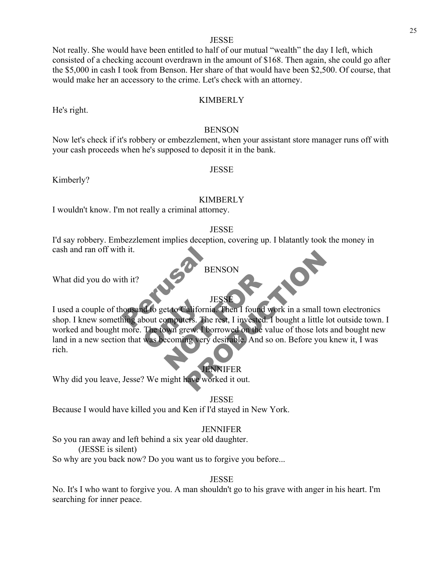Not really. She would have been entitled to half of our mutual "wealth" the day I left, which consisted of a checking account overdrawn in the amount of \$168. Then again, she could go after the \$5,000 in cash I took from Benson. Her share of that would have been \$2,500. Of course, that would make her an accessory to the crime. Let's check with an attorney.

### KIMBERLY

### **BENSON**

Now let's check if it's robbery or embezzlement, when your assistant store manager runs off with your cash proceeds when he's supposed to deposit it in the bank.

### **JESSE**

Kimberly?

He's right.

### KIMBERLY

I wouldn't know. I'm not really a criminal attorney.

### **JESSE**

I'd say robbery. Embezzlement implies deception, covering up. I blatantly took the money in cash and ran off with it.

What did you do with it?

# BENSON

**JESSI** 

h it.<br>th it?<br>sousand to get to California. of to get to California<br>bout computers. The<br>The town grew. I bo<br>was becoming very JESSE<br>
HESSE<br>
Et to California. Then I found won<br>
omputers. The rest, I invested. I b<br>
bown grew. I borrowed on the value<br>
ecoming very desirable. And so o BENSON<br>
JESSE<br>
difornia. Then I found work in a small town electrics.<br>
The rest, I invested. I bought a little lot outside<br>
they worked it out.<br>
TENNIFER<br>
TENNIFER<br>
TENNIFER<br>
TENNIFER<br>
TENNIFER I used a couple of thousand to get to California. Then I found work in a small town electronics shop. I knew something about computers. The rest, I invested. I bought a little lot outside town. I worked and bought more. The town grew. I borrowed on the value of those lots and bought new land in a new section that was becoming very desirable. And so on. Before you knew it, I was rich.

### **JENNIFER**

Why did you leave, Jesse? We might have worked it out.

### **JESSE**

Because I would have killed you and Ken if I'd stayed in New York.

### **JENNIFER**

So you ran away and left behind a six year old daughter.

(JESSE is silent)

So why are you back now? Do you want us to forgive you before...

### **JESSE**

No. It's I who want to forgive you. A man shouldn't go to his grave with anger in his heart. I'm searching for inner peace.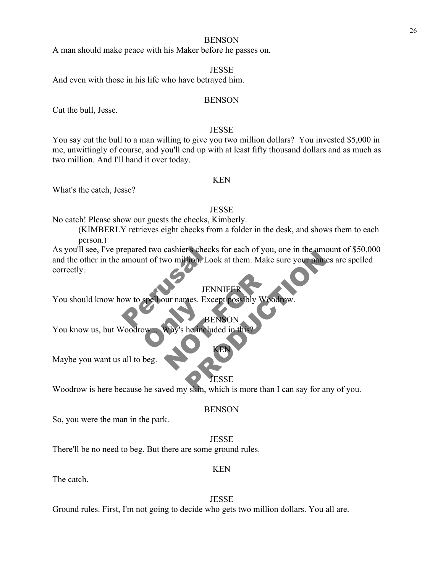### **BENSON**

A man should make peace with his Maker before he passes on.

### JESSE

And even with those in his life who have betrayed him.

### **BENSON**

Cut the bull, Jesse.

### **JESSE**

You say cut the bull to a man willing to give you two million dollars? You invested \$5,000 in me, unwittingly of course, and you'll end up with at least fifty thousand dollars and as much as two million. And I'll hand it over today.

### KEN

What's the catch, Jesse?

### JESSE

No catch! Please show our guests the checks, Kimberly.

(KIMBERLY retrieves eight checks from a folder in the desk, and shows them to each person.)

repared two cashier's checks<br>amount of two million. Look<br>JENN<br>w to spell our names. Excep Frances for each of you, one in the amount of 3<br>
from Look at them. Make sure your names are sp<br>
FENNIFER<br>
TENNIFER<br>
PRODUCTION<br>
BENSON<br>
RENSON<br>
RENSON<br>
FESSE<br>
SKIN, which is more than I can say for any of you As you'll see, I've prepared two cashier's checks for each of you, one in the amount of \$50,000 and the other in the amount of two million. Look at them. Make sure your names are spelled correctly.

**JENNIFE** 

JENNIFER<br>
JENNIFER<br>
Why's he mcluded in this? You should know how to spell our names. Except possibly Woodrow.

Speriour names. Exc BENSON<br>s he included in th You know us, but Woodrow

Maybe you want us all to beg.

### ESSE

KEN

Woodrow is here because he saved my skin, which is more than I can say for any of you.

So, you were the man in the park.

**JESSE** 

BENSON

There'll be no need to beg. But there are some ground rules.

### KEN

The catch.

**JESSE** 

Ground rules. First, I'm not going to decide who gets two million dollars. You all are.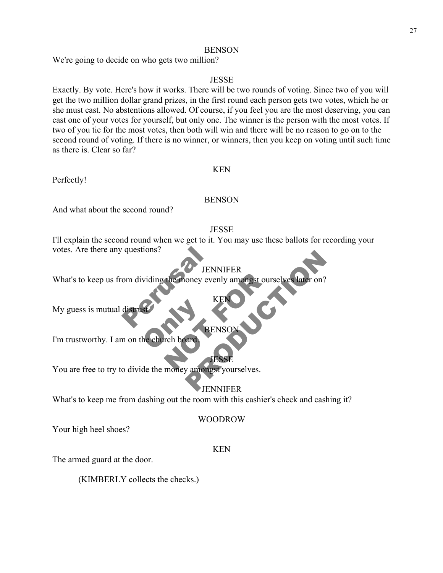# **BENSON**

We're going to decide on who gets two million?

# JESSE

Exactly. By vote. Here's how it works. There will be two rounds of voting. Since two of you will get the two million dollar grand prizes, in the first round each person gets two votes, which he or she must cast. No abstentions allowed. Of course, if you feel you are the most deserving, you can cast one of your votes for yourself, but only one. The winner is the person with the most votes. If two of you tie for the most votes, then both will win and there will be no reason to go on to the second round of voting. If there is no winner, or winners, then you keep on voting until such time as there is. Clear so far?

# Perfectly!

# BENSON

KEN

And what about the second round?

# **JESSE**

I'll explain the second round when we get to it. You may use these ballots for recording your votes. Are there any questions?

# JENNIFER

questions?<br>
Om dividing the money even! THE MONEY AND RENSOLUTED THE MONEY AND RENSOLUTED THE MONEY AND RENSOLUTED THE MONEY AND RENSOLUTED THE MONEY AND RELATED THE MONEY AND RELATED TO A REPORT OF THE MONEY AND RELATED TO A REPORT OF THE MONEY AND RELATED TO A JENNIFER<br>
Oney evenly amongst ourselves later on?<br>
KENONIFER<br>
BENSON<br>
JESSE<br>
JENSON<br>
JESSE<br>
JENNIFER What's to keep us from dividing the money evenly amongst ourselves later on?

My guess is mutual distrust.

# **BENS**

KEN

RE I'm trustworthy. I am on the church board.

JESSE You are free to try to divide the money amongst yourselves.

# JENNIFER

What's to keep me from dashing out the room with this cashier's check and cashing it?

### WOODROW

Your high heel shoes?

### KEN

The armed guard at the door.

(KIMBERLY collects the checks.)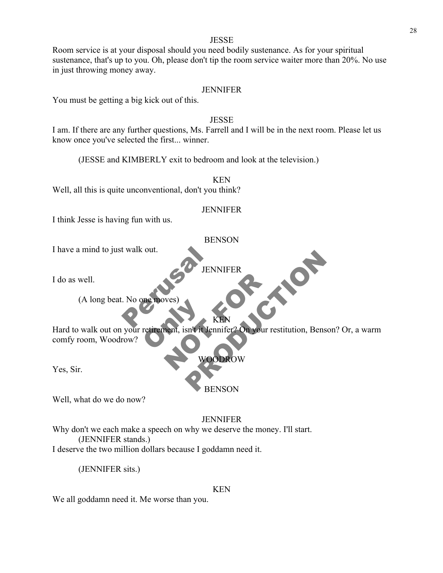Room service is at your disposal should you need bodily sustenance. As for your spiritual sustenance, that's up to you. Oh, please don't tip the room service waiter more than 20%. No use in just throwing money away.

### JENNIFER

You must be getting a big kick out of this.

### **JESSE**

I am. If there are any further questions, Ms. Farrell and I will be in the next room. Please let us know once you've selected the first... winner.

(JESSE and KIMBERLY exit to bedroom and look at the television.)

KEN Well, all this is quite unconventional, don't you think?

### JENNIFER

I think Jesse is having fun with us.

### BENSON

I have a mind to just walk out.

JENNIFER

**PRODUCTION** 

I do as well.

t walk out.<br>
No one moves)<br>
Represented to the Representation  $(A \text{ long beat. No one } m)$ 

Tretirement, isn't it Je Wes)<br>Next (isn't it Jennifer? On your res Hard to walk out on your retirement, isn't it Jennifer? On your restitution, Benson? Or, a warm comfy room, Woodrow?

KEN

WOODROW

Yes, Sir.

BENSON

Well, what do we do now?

### JENNIFER

Why don't we each make a speech on why we deserve the money. I'll start. (JENNIFER stands.)

I deserve the two million dollars because I goddamn need it.

(JENNIFER sits.)

### KEN

We all goddamn need it. Me worse than you.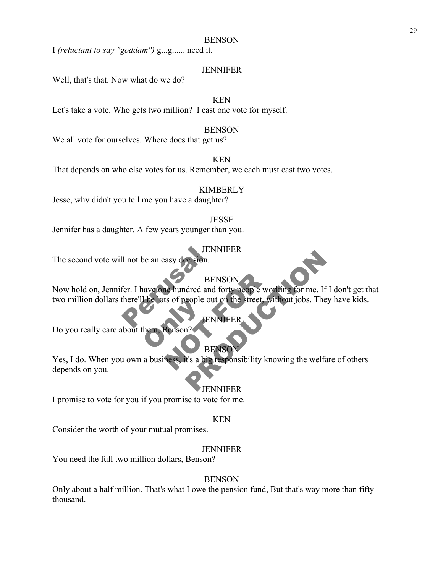### **BENSON**

I *(reluctant to say "goddam")* g...g...... need it.

### JENNIFER

Well, that's that. Now what do we do?

# KEN

Let's take a vote. Who gets two million? I cast one vote for myself.

### BENSON

We all vote for ourselves. Where does that get us?

# KEN

That depends on who else votes for us. Remember, we each must cast two votes.

### KIMBERLY

Jesse, why didn't you tell me you have a daughter?

### **JESSE**

Jennifer has a daughter. A few years younger than you.

### JENNIFER

The second vote will not be an easy decision.

### **BENSON**

JENN<br>
Il not be an easy decision.<br>
BEN<br>
fer. I have one hundred and f<br>
there'll be lots of people out of The forts of people of BENSON<br>
ts of people out on the street, with<br>
JENNIFER<br>
JENNIFER<br>
JENNIFER<br>
BENSON<br>
BENSON<br>
Ress, it's a big responsibility know Now hold on, Jennifer. I have one hundred and forty people working for me. If I don't get that two million dollars there'll be lots of people out on the street, without jobs. They have kids.

### ENNIFER

Do you really care about them, Benson?

# **BENSO**

BENSON<br>
BENSON<br>
dred and forty people working for me. If I don't g<br>
eople out on the street, without jobs. They have k<br>
FINNIFER<br>
BENSON<br>
It's a big responsibility knowing the welfare of oth<br>
JENNIFER Yes, I do. When you own a business, it's a big responsibility knowing the welfare of others depends on you.

### **JENNIFER**

I promise to vote for you if you promise to vote for me.

### KEN

Consider the worth of your mutual promises.

### **JENNIFER**

You need the full two million dollars, Benson?

### **BENSON**

Only about a half million. That's what I owe the pension fund, But that's way more than fifty thousand.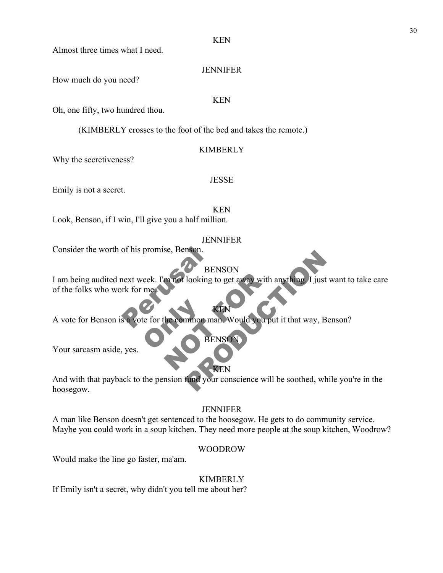JENNIFER

Almost three times what I need.

How much do you need?

### KEN

Oh, one fifty, two hundred thou.

(KIMBERLY crosses to the foot of the bed and takes the remote.)

### KIMBERLY

JESSE

Why the secretiveness?

Emily is not a secret.

KEN

Look, Benson, if I win, I'll give you a half million.

# JENNIFER

Consider the worth of his promise, Benson.

BENSON

of his promise, Benson.<br>
BEN<br>
next week. I'm not looking to<br>
rk for me.<br>
Sa vote for the common man m not looking to get away with an BENSON<br>
BENSON<br>
The Hall of the Would you put it that way, Benson?<br>
BENSON<br>
BENSON<br>
REN<br>
The Would your conscience will be soothed, while you're I am being audited next week. I'm not looking to get away with anything. I just want to take care of the folks who work for me.

te for the common m KEN A vote for Benson is a vote for the common man. Would you put it that way, Benson?

Your sarcasm aside, yes.

And with that payback to the pension fund your conscience will be soothed, while you're in the hoosegow.

**BENSON** 

KEN

# JENNIFER

A man like Benson doesn't get sentenced to the hoosegow. He gets to do community service. Maybe you could work in a soup kitchen. They need more people at the soup kitchen, Woodrow?

# WOODROW

Would make the line go faster, ma'am.

# KIMBERLY

If Emily isn't a secret, why didn't you tell me about her?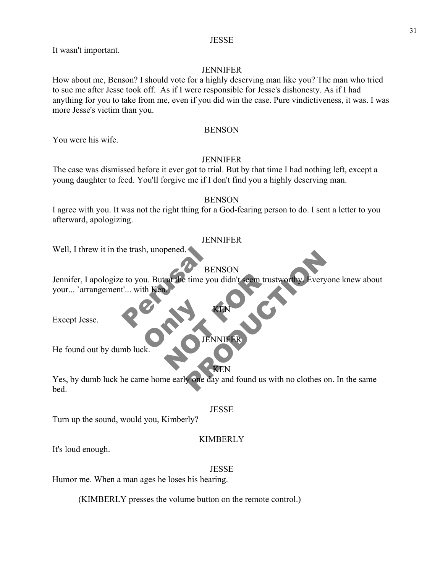It wasn't important.

# **JENNIFER**

How about me, Benson? I should vote for a highly deserving man like you? The man who tried to sue me after Jesse took off. As if I were responsible for Jesse's dishonesty. As if I had anything for you to take from me, even if you did win the case. Pure vindictiveness, it was. I was more Jesse's victim than you.

### **BENSON**

You were his wife.

# JENNIFER

The case was dismissed before it ever got to trial. But by that time I had nothing left, except a young daughter to feed. You'll forgive me if I don't find you a highly deserving man.

### **BENSON**

I agree with you. It was not the right thing for a God-fearing person to do. I sent a letter to you afterward, apologizing.

### JENNIFER

Well, I threw it in the trash, unopened.

# BENSON

e trash, unopened.<br>
E to you. But at the time you of the state of the state of the state of the state of the state of the state of the state of the state of the state of the state of the state of the state of the state of The time you didn't seem trusty BENSON<br>
time you didn't seem trustworthy. Everyone kneed<br>
SEN CENTRER<br>
TENNIFER<br>
STENNIFER<br>
STENNIFER<br>
STENNIFER Jennifer, I apologize to you. But at the time you didn't seem trustworthy. Everyone knew about your... `arrangement'... with K

KEN

JENNIFER

KEN

Except Jesse.

ONLY 15 He found out by dumb luck.

Yes, by dumb luck he came home early one day and found us with no clothes on. In the same bed.

### JESSE

Turn up the sound, would you, Kimberly?

### KIMBERLY

It's loud enough.

### JESSE

Humor me. When a man ages he loses his hearing.

(KIMBERLY presses the volume button on the remote control.)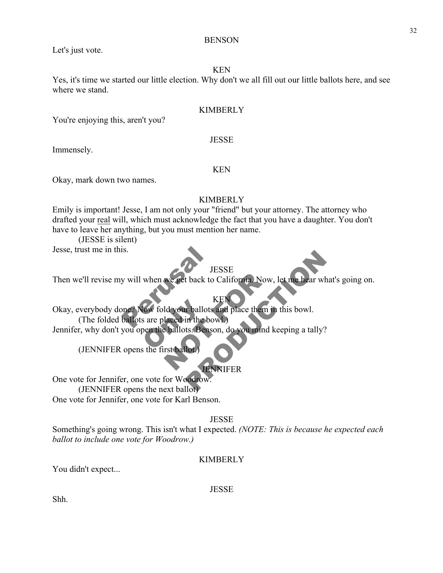Let's just vote.

# KEN

**BENSON** 

Yes, it's time we started our little election. Why don't we all fill out our little ballots here, and see where we stand.

### KIMBERLY

You're enjoying this, aren't you?

Immensely.

### KEN

**JESSE** 

Okay, mark down two names.

# **KIMBERLY**

Emily is important! Jesse, I am not only your "friend" but your attorney. The attorney who drafted your real will, which must acknowledge the fact that you have a daughter. You don't have to leave her anything, but you must mention her name.

(JESSE is silent)

Jesse, trust me in this.

# JESSE

Then we'll revise my will when we get back to California. Now, let me hear what's going on.

is.<br>
y will when we get back to C<br>
Dee? Now fold your ballots are<br>
ballots are placed in the bow. Fow fold your ballots<br>s are placed in the bo We get back to California. Now, l JESSE<br>
t back to California. Now, let me hear what's goin<br>
KEN<br>
t ballots and place them in this bowl.<br>
in the bowl.<br>
ts. Benson, do you mind keeping a tally?<br>
CO.<br>
JENNIFER<br>
JON. **KE** Okay, everybody done? Now fold your ballots and place them in this bowl. (The folded ballots are placed in the bowl.) Jennifer, why don't you open the ballots. Benson, do you mind keeping a tally?

(JENNIFER opens the first ballot.)

# JENNIFER

One vote for Jennifer, one vote for Woodrow. (JENNIFER opens the next ballot) One vote for Jennifer, one vote for Karl Benson.

**JESSE** 

Something's going wrong. This isn't what I expected. *(NOTE: This is because he expected each ballot to include one vote for Woodrow.)*

# KIMBERLY

You didn't expect...

JESSE

Shh.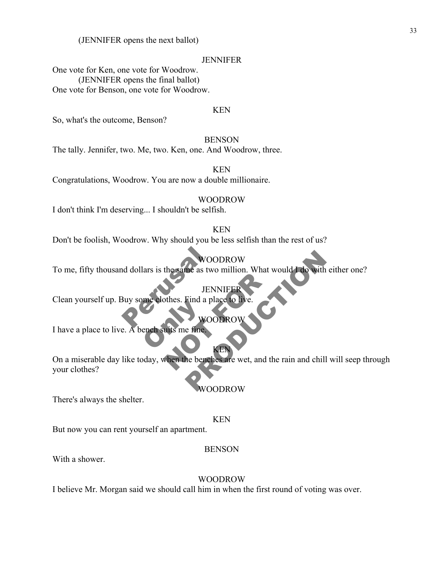(JENNIFER opens the next ballot)

### **JENNIFER**

One vote for Ken, one vote for Woodrow. (JENNIFER opens the final ballot) One vote for Benson, one vote for Woodrow.

### KEN

So, what's the outcome, Benson?

### **BENSON**

The tally. Jennifer, two. Me, two. Ken, one. And Woodrow, three.

KEN

Congratulations, Woodrow. You are now a double millionaire.

### WOODROW

I don't think I'm deserving... I shouldn't be selfish.

### KEN

Don't be foolish, Woodrow. Why should you be less selfish than the rest of us?

### WOODROW

To me, fifty thousand dollars is the same as two million. What would I do with either one?

WOODR

JENNI

WOOI<br>
ISBN 90001<br>
MOOI<br>
Perusal place<br>
Perusal place<br>
Perusal place<br>
Perusal place<br>
Perusal place<br>
Perusal place<br>
Perusal place<br>
Perusal place<br>
Perusal place<br>
Perusal place<br>
Perusal place<br>
Perusal place<br>
Perusal place<br>
Per Clean yourself up. Buy some clothes. Find a place

ench suits me fine. I have a place to live. A bench suits me fine.

JENNIFER<br>JENNIFER<br>wood a place to live<br>wood ROW<br>WOODROW<br>WENCHER<br>Shen the benches are wet, and the WOODROW<br>
TENNIFER<br>
Find a place to live.<br>
WOODROW<br>
e fine.<br>
WOODROW<br>
A be benches are wet, and the rain and chill will see<br>
WOODROW<br>
WOODROW On a miserable day like today, when the benches are wet, and the rain and chill will seep through your clothes?

KEN

### WOODROW

There's always the shelter.

### KEN

But now you can rent yourself an apartment.

### BENSON

With a shower.

### WOODROW

I believe Mr. Morgan said we should call him in when the first round of voting was over.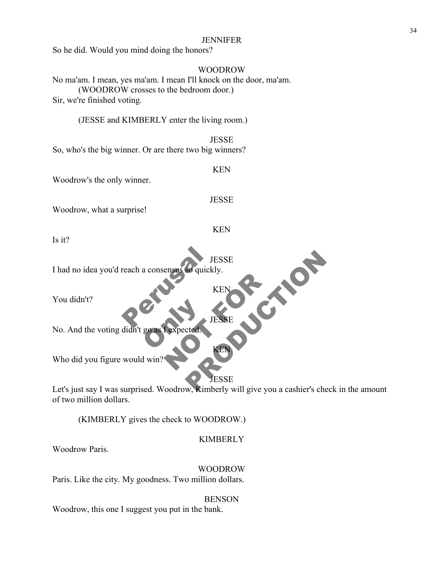### JENNIFER

So he did. Would you mind doing the honors?

# WOODROW

No ma'am. I mean, yes ma'am. I mean I'll knock on the door, ma'am. (WOODROW crosses to the bedroom door.) Sir, we're finished voting.

(JESSE and KIMBERLY enter the living room.)

**JESSE** So, who's the big winner. Or are there two big winners?

Woodrow's the only winner.

**JESSE** 

KEN

KEN

JESSE

KEN

KEN

Woodrow, what a surprise!

Is it?

**JESSE** 

TES<br>
TES<br>
RES<br>
RES<br>
PERS I had no idea you'd reach a consensus so quickly.

You didn't?

Boast Expected KEN KEN No. And the voting didn't go as

Who did you figure would win

# ESSE

Sequickly.<br>
KEN<br>
JESSE<br>
Cted.<br>
JESSE<br>
W. Kimberly will give you a cashier's check in the Let's just say I was surprised. Woodrow, Kimberly will give you a cashier's check in the amount of two million dollars.

(KIMBERLY gives the check to WOODROW.)

# KIMBERLY

Woodrow Paris.

WOODROW Paris. Like the city. My goodness. Two million dollars.

**BENSON** 

Woodrow, this one I suggest you put in the bank.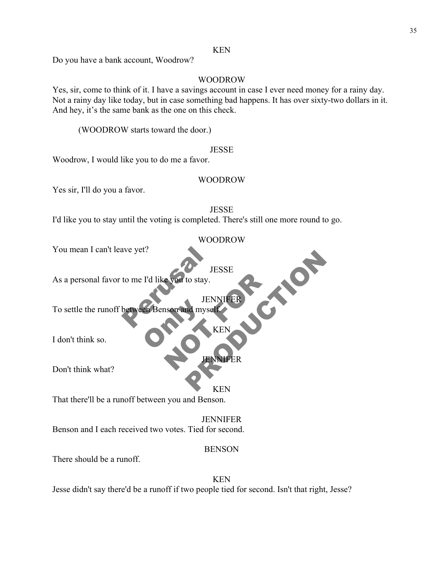Do you have a bank account, Woodrow?

### WOODROW

Yes, sir, come to think of it. I have a savings account in case I ever need money for a rainy day. Not a rainy day like today, but in case something bad happens. It has over sixty-two dollars in it. And hey, it's the same bank as the one on this check.

(WOODROW starts toward the door.)

### **JESSE**

Woodrow, I would like you to do me a favor.

### WOODROW

Yes sir, I'll do you a favor.

### JESSE

I'd like you to stay until the voting is completed. There's still one more round to go.

### WOODROW

You mean I can't leave yet?

### **JESSE**

**JENNIFER** 

**KEN** 

As a personal favor to me I'd like you to stay.

ave yet?<br>
IES<br>
to me I'd like you to stay.<br>
JENN<br>
between Benson and myself En Benson and myse NOT to stay.<br>
JENNIFER<br>
NET MERRET JESSE<br>
LENNIFER<br>
JENNIFER<br>
KEN<br>
KEN<br>
KEN<br>
KEN To settle the runoff between Benson and myself.

I don't think so.

Don't think what?

KEN

JENNIFER

That there'll be a runoff between you and Benson.

JENNIFER Benson and I each received two votes. Tied for second.

### BENSON

There should be a runoff.

KEN Jesse didn't say there'd be a runoff if two people tied for second. Isn't that right, Jesse?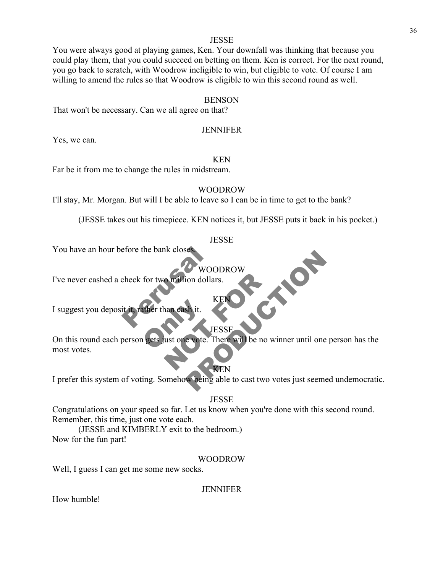You were always good at playing games, Ken. Your downfall was thinking that because you could play them, that you could succeed on betting on them. Ken is correct. For the next round, you go back to scratch, with Woodrow ineligible to win, but eligible to vote. Of course I am willing to amend the rules so that Woodrow is eligible to win this second round as well.

### **BENSON**

That won't be necessary. Can we all agree on that?

### **JENNIFER**

Yes, we can.

### KEN

Far be it from me to change the rules in midstream.

### WOODROW

I'll stay, Mr. Morgan. But will I be able to leave so I can be in time to get to the bank?

(JESSE takes out his timepiece. KEN notices it, but JESSE puts it back in his pocket.)

### JESSE

You have an hour before the bank closes.

WOODROW

KEN

PRODUCTION

efore the bank closes.<br>
WOOI<br>
check for two million dollars<br>
it it, rather than eash it. I've never cashed a check for two million dollars.

I suggest you deposit it, rather than cash it.

### **IESSE**

ather than eash it. Notified de la KENCHER NET On this round each person gets just one vote. There will be no winner until one person has the most votes.

KEN I prefer this system of voting. Somehow being able to cast two votes just seemed undemocratic.

### **JESSE**

Congratulations on your speed so far. Let us know when you're done with this second round. Remember, this time, just one vote each.

(JESSE and KIMBERLY exit to the bedroom.) Now for the fun part!

### WOODROW

Well, I guess I can get me some new socks.

### JENNIFER

How humble!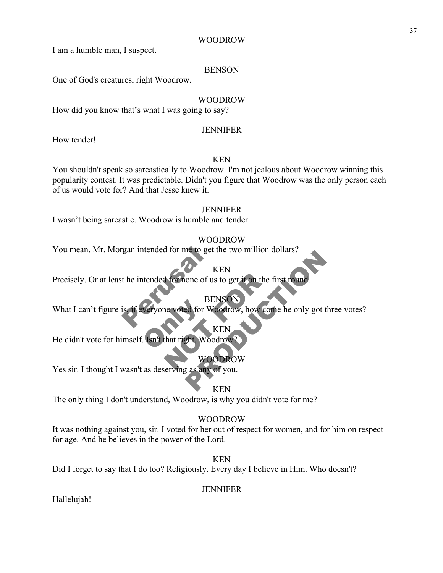I am a humble man, I suspect.

# BENSON

One of God's creatures, right Woodrow.

# WOODROW

How did you know that's what I was going to say?

# **JENNIFER**

How tender!

# KEN

You shouldn't speak so sarcastically to Woodrow. I'm not jealous about Woodrow winning this popularity contest. It was predictable. Didn't you figure that Woodrow was the only person each of us would vote for? And that Jesse knew it.

# JENNIFER

I wasn't being sarcastic. Woodrow is humble and tender.

# WOODROW

You mean, Mr. Morgan intended for me to get the two million dollars?

# KEN

Francisch states and the intended for more of us to KH<br>
EN BEN<br>
Is, if everyone voted for Wood The Voltage of <u>us</u> to get it on the firm<br>BENSON<br>RENSON<br>RENSON<br>KEN<br>RENSON<br>WOODROW Precisely. Or at least he intended for none of us to get it on the first round.

# BENSON

Veryone voted for W KEN<br>
RENSON<br>
BENSON<br>
BENSON<br>
BENSON<br>
BENSON<br>
PRODUCTION<br>
RENSON<br>
WOODROW<br>
THE WOODROW<br>
THE WOODROW<br>
THE WOODROW<br>
THE WOODROW<br>
THE WOODROW<br>
THE WOODROW<br>
THE WOODROW<br>
THE WOODROW<br>
THE WOODROW<br>
THE NUMBER OF YOU. What I can't figure is, if everyone voted for Woodrow, how come he only got three votes?

# KEN

He didn't vote for himself. Isn't that right, Woodrow?

# WOODROW

Yes sir. I thought I wasn't as deserving as any of you.

# KEN

The only thing I don't understand, Woodrow, is why you didn't vote for me?

# WOODROW

It was nothing against you, sir. I voted for her out of respect for women, and for him on respect for age. And he believes in the power of the Lord.

KEN

Did I forget to say that I do too? Religiously. Every day I believe in Him. Who doesn't?

# **JENNIFER**

Hallelujah!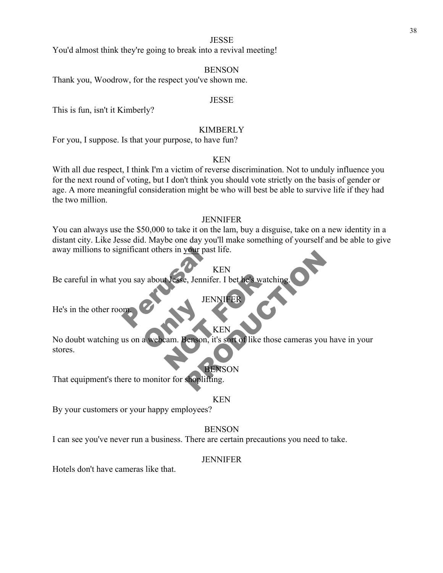You'd almost think they're going to break into a revival meeting!

### BENSON

Thank you, Woodrow, for the respect you've shown me.

### **JESSE**

This is fun, isn't it Kimberly?

### KIMBERLY

For you, I suppose. Is that your purpose, to have fun?

### KEN

With all due respect, I think I'm a victim of reverse discrimination. Not to unduly influence you for the next round of voting, but I don't think you should vote strictly on the basis of gender or age. A more meaningful consideration might be who will best be able to survive life if they had the two million.

### **JENNIFER**

You can always use the \$50,000 to take it on the lam, buy a disguise, take on a new identity in a distant city. Like Jesse did. Maybe one day you'll make something of yourself and be able to give away millions to significant others in your past life.

### KEN

**JENNIFER** 

EXPRISION Be careful in what you say about Jesse, Jennifer. I bet he's watching.

He's in the other room.

### KEN

Representative de la Represence de la Represence de la Represence de la Represence de la Represence de la Represence de la Represence de la Represence de la Represence de la Represence de la Represence de la Represence de Nesse, Jennifer. I bet he's watchi KEN<br>
KEN<br>
JENNIFER<br>
KEN<br>
KEN<br>
KEN<br>
KEN<br>
SENSON<br>
BENSON<br>
Shoplifting. No doubt watching us on a webcam. Benson, it's sort of like those cameras you have in your stores.

### BENSON

That equipment's there to monitor for shoplifting.

### KEN

By your customers or your happy employees?

### **BENSON**

I can see you've never run a business. There are certain precautions you need to take.

### **JENNIFER**

Hotels don't have cameras like that.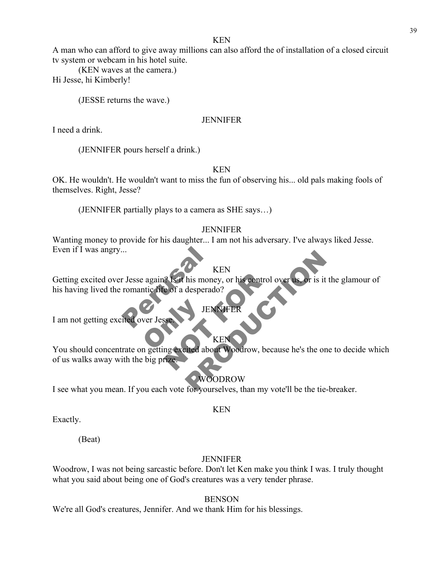### KEN

A man who can afford to give away millions can also afford the of installation of a closed circuit tv system or webcam in his hotel suite.

(KEN waves at the camera.)

Hi Jesse, hi Kimberly!

(JESSE returns the wave.)

# JENNIFER

I need a drink.

(JENNIFER pours herself a drink.)

KEN

OK. He wouldn't. He wouldn't want to miss the fun of observing his... old pals making fools of themselves. Right, Jesse?

(JENNIFER partially plays to a camera as SHE says…)

# **JENNIFER**

Wanting money to provide for his daughter... I am not his adversary. I've always liked Jesse. Even if I was angry...

# KEN

KI<br>
T Jesse again? Is it his money<br>
romantic life of a desperado?<br>
HENN<br>
TENN<br>
TENN Getting excited over Jesse again? Is it his money, or his control over us, or is it the glamour of his having lived the romantic life of a desperado?

I am not getting excited over Jess.

You should concentrate on getting excited about Woodrow, because he's the one to decide which NOT FOR KEN<br>
his money, or his control over us or is it the glan<br>
desperado?<br>
JENNIFER<br>
KEN<br>
KEN<br>
REN<br>
WOODROW, because he's the one to dec<br>
WOODROW<br>
for yourselves, than my vote'll be the tie-breaker of us walks away with the big prize.

KEN

JENNIFER

# WOODROW

KEN

I see what you mean. If you each vote for yourselves, than my vote'll be the tie-breaker.

Exactly.

(Beat)

# JENNIFER

Woodrow, I was not being sarcastic before. Don't let Ken make you think I was. I truly thought what you said about being one of God's creatures was a very tender phrase.

**BENSON** 

We're all God's creatures, Jennifer. And we thank Him for his blessings.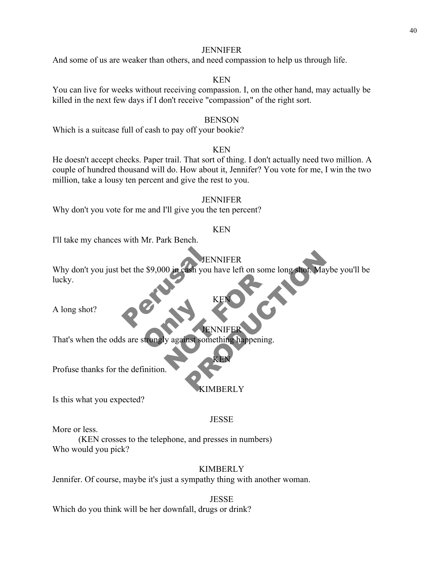### **JENNIFER**

And some of us are weaker than others, and need compassion to help us through life.

### KEN

You can live for weeks without receiving compassion. I, on the other hand, may actually be killed in the next few days if I don't receive "compassion" of the right sort.

### BENSON

Which is a suitcase full of cash to pay off your bookie?

### KEN

He doesn't accept checks. Paper trail. That sort of thing. I don't actually need two million. A couple of hundred thousand will do. How about it, Jennifer? You vote for me, I win the two million, take a lousy ten percent and give the rest to you.

# **JENNIFER**

Why don't you vote for me and I'll give you the ten percent?

### KEN

I'll take my chances with Mr. Park Bench.

### JENNIFER

bet the \$9,000 in cash you ha KEND KEND WE WAS ARRESTED FOR DEVICE OF THE REAL PROPERTY. JENNIFER<br>
ash you have left on some long shot. Maybe you!<br>
KEN<br>
KEN<br>
NENNIFER<br>
REN<br>
REN<br>
KIMBERLY Why don't you just bet the \$9,000 in cash you have left on some long shot. Maybe you'll be lucky.

A long shot?

### **JENNIFE**

KEN

Strongly against some That's when the odds are strongly against something happening.

Profuse thanks for the definition.

### **IMBERLY**

KEN

Is this what you expected?

### **JESSE**

More or less.

(KEN crosses to the telephone, and presses in numbers) Who would you pick?

### KIMBERLY

Jennifer. Of course, maybe it's just a sympathy thing with another woman.

**JESSE** 

Which do you think will be her downfall, drugs or drink?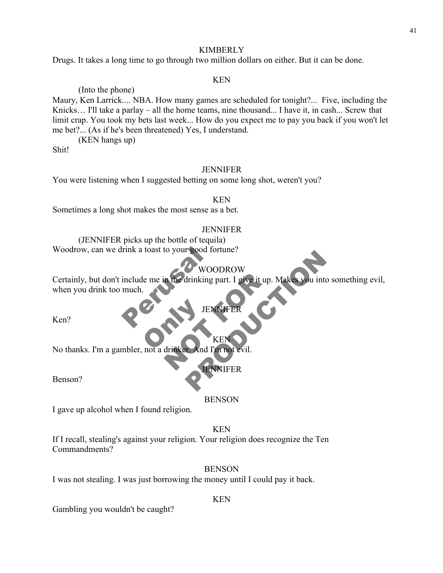Drugs. It takes a long time to go through two million dollars on either. But it can be done.

### KEN

(Into the phone) Maury, Ken Larrick.... NBA. How many games are scheduled for tonight?... Five, including the Knicks... I'll take a parlay – all the home teams, nine thousand... I have it, in cash... Screw that limit crap. You took my bets last week... How do you expect me to pay you back if you won't let me bet?... (As if he's been threatened) Yes, I understand.

(KEN hangs up)

Shit!

### JENNIFER

You were listening when I suggested betting on some long shot, weren't you?

### KEN

Sometimes a long shot makes the most sense as a bet.

### **JENNIFER**

(JENNIFER picks up the bottle of tequila) Woodrow, can we drink a toast to your good fortune?

# WOODROW

Fink a toast to your good fort<br>include me in the drinking particular and the drinking particular of the drinking particular of the drinking particular of the MNN Certainly, but don't include me in the drinking part. I give it up. Makes you into something evil,<br>when you drink too much.<br>Ken?<br>No thanks. I'm a gambler, not a drinker and I'm not evil. WOODROW<br>
drinking part. I give it up. Makes you into someth<br>
JENNIFER<br>
LAnd I'm not evil.<br>
ENNIFER when you drink too much.

JENNIFER

KEN

Ken?

Ken?<br>No thanks. I'm a gambler, not a drinker. And I'm not evil.

JENNIFER

Benson?

### **BENSON**

I gave up alcohol when I found religion.

### KEN

If I recall, stealing's against your religion. Your religion does recognize the Ten Commandments?

### **BENSON**

I was not stealing. I was just borrowing the money until I could pay it back.

### KEN

Gambling you wouldn't be caught?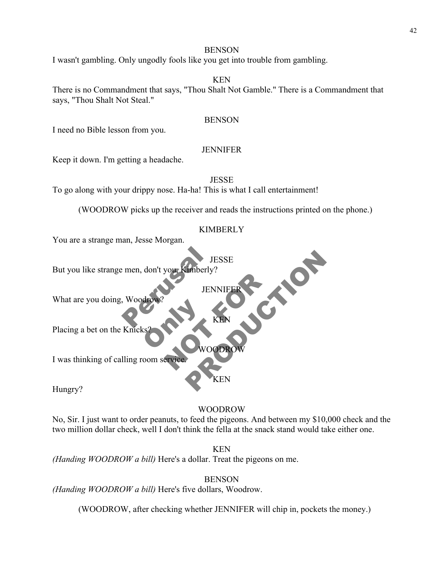### **BENSON**

I wasn't gambling. Only ungodly fools like you get into trouble from gambling.

### KEN

There is no Commandment that says, "Thou Shalt Not Gamble." There is a Commandment that says, "Thou Shalt Not Steal."

### BENSON

I need no Bible lesson from you.

### **JENNIFER**

Keep it down. I'm getting a headache.

JESSE

To go along with your drippy nose. Ha-ha! This is what I call entertainment!

(WOODROW picks up the receiver and reads the instructions printed on the phone.)

### KIMBERLY

**JESSE** 

KEN

WOODROW

KEN

JENNI

You are a strange man, Jesse Morgan.

JES<br>
men, don't you, Kimberly?<br>
JENN<br>
Woodrow?<br>
KI JENNIFER JESSE<br>
JENNIFER<br>
KEN<br>
KEN<br>
WOODROW<br>
KEN<br>
KEN But you like strange men, don't you, Kimberly?

What are you doing, Woodr

**ONLY ONLY** Placing a bet on the Knick

I was thinking of calling room service.

Hungry?

### WOODROW

No, Sir. I just want to order peanuts, to feed the pigeons. And between my \$10,000 check and the two million dollar check, well I don't think the fella at the snack stand would take either one.

KEN

*(Handing WOODROW a bill)* Here's a dollar. Treat the pigeons on me.

BENSON

*(Handing WOODROW a bill)* Here's five dollars, Woodrow.

(WOODROW, after checking whether JENNIFER will chip in, pockets the money.)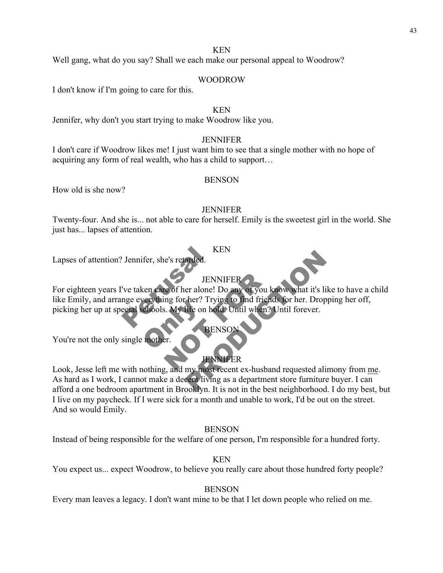Well gang, what do you say? Shall we each make our personal appeal to Woodrow?

### WOODROW

I don't know if I'm going to care for this.

### KEN

Jennifer, why don't you start trying to make Woodrow like you.

### JENNIFER

I don't care if Woodrow likes me! I just want him to see that a single mother with no hope of acquiring any form of real wealth, who has a child to support…

### BENSON

How old is she now?

### JENNIFER

Twenty-four. And she is... not able to care for herself. Emily is the sweetest girl in the world. She just has... lapses of attention.

### KEN

Lapses of attention? Jennifer, she's retarded.

# JENNIFER

KP<br>
Ve taken care of her alone! L<br>
TENN<br>
TENN<br>
TENN<br>
TENN<br>
TENN<br>
RENDER AND TEND Exercise Section 11 JENNIFER<br>
e of her alone! Do any of you knew<br>
ing for her? Trying to find friends<br>
ENSON<br>
ENSON<br>
FRENSON<br>
FRENSON<br>
FRENSON<br>
FRENSON<br>
FRENSON<br>
FRENSON<br>
FRENSON<br>
FRENSON SEN<br>
JENNIFER<br>
er alone! Do any of you know what it's like to have<br>
the condition of the state of the condition of the conditions<br>
SENSON<br>
PENSON<br>
PENSON<br>
PENSON<br>
PENSON<br>
PENSON<br>
PENSON<br>
PENSON<br>
PENSON<br>
PENSON<br>
PENSON<br>
PEN For eighteen years I've taken care of her alone! Do any of you know what it's like to have a child like Emily, and arrange everything for her? Trying to find friends for her. Dropping her off, picking her up at special schools. My life on hold. Until when? Until forever.

# **BENSON**

You're not the only single mother.

# JENNIFER

Look, Jesse left me with nothing, and my most recent ex-husband requested alimony from me. As hard as I work, I cannot make a decent living as a department store furniture buyer. I can afford a one bedroom apartment in Brooklyn. It is not in the best neighborhood. I do my best, but I live on my paycheck. If I were sick for a month and unable to work, I'd be out on the street. And so would Emily.

### **BENSON**

Instead of being responsible for the welfare of one person, I'm responsible for a hundred forty.

KEN

You expect us... expect Woodrow, to believe you really care about those hundred forty people?

### **BENSON**

Every man leaves a legacy. I don't want mine to be that I let down people who relied on me.